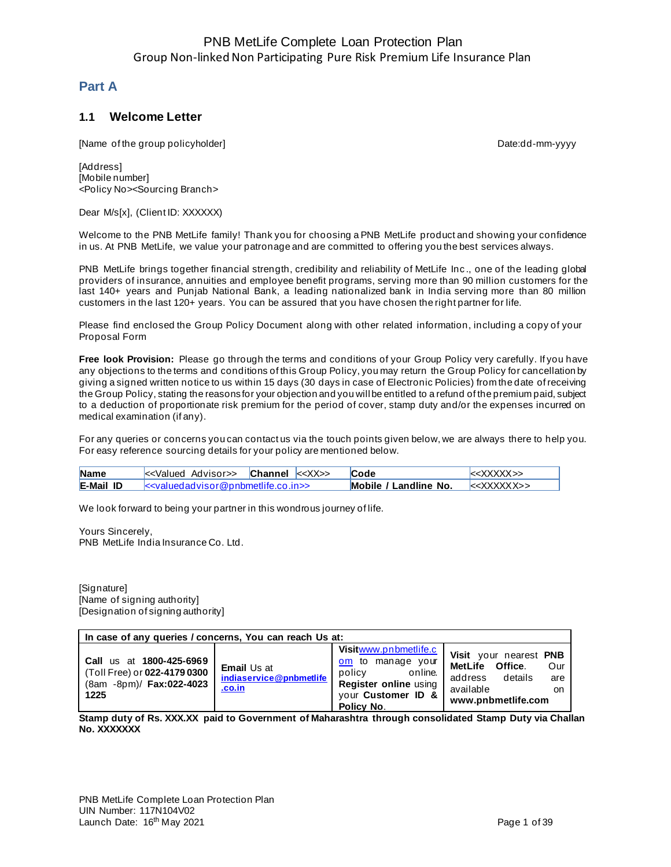### **Part A**

### **1.1 Welcome Letter**

[Name of the group policyholder] example and the control of the group of the group policyholder]

[Address] [Mobile number] <Policy No><Sourcing Branch>

Dear M/s[x], (Client ID: XXXXXX)

Welcome to the PNB MetLife family! Thank you for choosing a PNB MetLife product and showing your confidence in us. At PNB MetLife, we value your patronage and are committed to offering you the best services always.

PNB MetLife brings together financial strength, credibility and reliability of MetLife Inc., one of the leading global providers of insurance, annuities and employee benefit programs, serving more than 90 million customers for the last 140+ years and Punjab National Bank, a leading nationalized bank in India serving more than 80 million customers in the last 120+ years. You can be assured that you have chosen the right partner for life.

Please find enclosed the Group Policy Document along with other related information, including a copy of your Proposal Form

**Free look Provision:** Please go through the terms and conditions of your Group Policy very carefully. If you have any objections to the terms and conditions of this Group Policy, you may return the Group Policy for cancellation by giving a signed written notice to us within 15 days (30 days in case of Electronic Policies) from the date of receiving the Group Policy, stating the reasons for your objection and you will be entitled to a refund of the premium paid, subject to a deduction of proportionate risk premium for the period of cover, stamp duty and/or the expenses incurred on medical examination (if any).

For any queries or concerns you can contact us via the touch points given below, we are always there to help you. For easy reference sourcing details for your policy are mentioned below.

| <b>Name</b>      |                                              | Channel < <xx>&gt;</xx> | Code                  |                              |
|------------------|----------------------------------------------|-------------------------|-----------------------|------------------------------|
| <b>E-Mail ID</b> | $k$ evalued advisor @ popmettife co in $\ge$ |                         | Mobile / Landline No. | $\epsilon$ XXXXXX $\epsilon$ |

We look forward to being your partner in this wondrous journey of life.

Yours Sincerely, PNB MetLife India Insurance Co. Ltd.

[Signature] [Name of signing authority] [Designation of signing authority]

| In case of any queries / concerns, You can reach Us at:                                      |                                                                |                                                                                                                              |                                                                                                                                   |  |  |
|----------------------------------------------------------------------------------------------|----------------------------------------------------------------|------------------------------------------------------------------------------------------------------------------------------|-----------------------------------------------------------------------------------------------------------------------------------|--|--|
| Call us at 1800-425-6969<br>(Toll Free) or 022-4179 0300<br>(8am -8pm)/ Fax:022-4023<br>1225 | <b>Email Us at</b><br>indiaservice@pnbmetlife<br><u>.co.in</u> | Visitwww.pnbmetlife.c<br>om to manage your<br>policy<br>online.<br>Register online using<br>your Customer ID &<br>Policy No. | Visit your nearest PNB<br>MetLife Office.<br>Our<br>details<br>address<br>are<br>available<br><sub>on</sub><br>www.pnbmetlife.com |  |  |

**Stamp duty of Rs. XXX.XX paid to Government of Maharashtra through consolidated Stamp Duty via Challan No. XXXXXXX**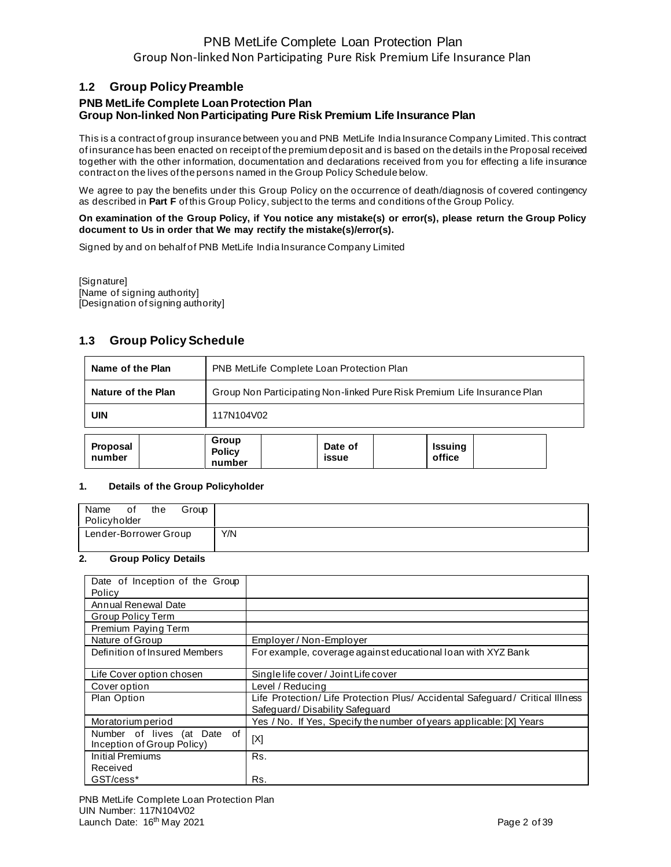### **1.2 Group Policy Preamble**

## **PNB MetLife Complete Loan Protection Plan Group Non-linked Non Participating Pure Risk Premium Life Insurance Plan**

This is a contract of group insurance between you and PNB MetLife India Insurance Company Limited. This contract of insurance has been enacted on receipt of the premium deposit and is based on the details in the Proposal received together with the other information, documentation and declarations received from you for effecting a life insurance contract on the lives of the persons named in the Group Policy Schedule below.

We agree to pay the benefits under this Group Policy on the occurrence of death/diagnosis of covered contingency as described in **Part F** of this Group Policy, subject to the terms and conditions of the Group Policy.

#### **On examination of the Group Policy, if You notice any mistake(s) or error(s), please return the Group Policy document to Us in order that We may rectify the mistake(s)/error(s).**

Signed by and on behalf of PNB MetLife India Insurance Company Limited

[Signature] [Name of signing authority] [Designation of signing authority]

## **1.3 Group Policy Schedule**

| Name of the Plan                                                                                       | PNB MetLife Complete Loan Protection Plan                                |  |  |  |
|--------------------------------------------------------------------------------------------------------|--------------------------------------------------------------------------|--|--|--|
| Nature of the Plan                                                                                     | Group Non Participating Non-linked Pure Risk Premium Life Insurance Plan |  |  |  |
| <b>UIN</b>                                                                                             | 117N104V02                                                               |  |  |  |
| Group<br>Date of<br>Proposal<br><b>Issuing</b><br><b>Policy</b><br>office<br>number<br>issue<br>number |                                                                          |  |  |  |

#### **1. Details of the Group Policyholder**

| Name<br>the<br>Group<br>οf<br>Policyholder |     |
|--------------------------------------------|-----|
| Lender-Borrower Group                      | Y/N |

#### **2. Group Policy Details**

| Date of Inception of the Group                            |                                                                                                                |
|-----------------------------------------------------------|----------------------------------------------------------------------------------------------------------------|
| Policy                                                    |                                                                                                                |
| Annual Renewal Date                                       |                                                                                                                |
| Group Policy Term                                         |                                                                                                                |
| Premium Paying Term                                       |                                                                                                                |
| Nature of Group                                           | Employer / Non-Employer                                                                                        |
| Definition of Insured Members                             | For example, coverage against educational loan with XYZ Bank                                                   |
| Life Cover option chosen                                  | Single life cover / Joint Life cover                                                                           |
| Cover option                                              | Level / Reducing                                                                                               |
| Plan Option                                               | Life Protection/Life Protection Plus/ Accidental Safeguard/ Critical Illness<br>Safequard/Disability Safequard |
| Moratorium period                                         | Yes / No. If Yes, Specify the number of years applicable: [X] Years                                            |
| Number of lives (at Date of<br>Inception of Group Policy) | [X]                                                                                                            |
| Initial Premiums                                          | Rs.                                                                                                            |
| Received                                                  |                                                                                                                |
| GST/cess*                                                 | Rs.                                                                                                            |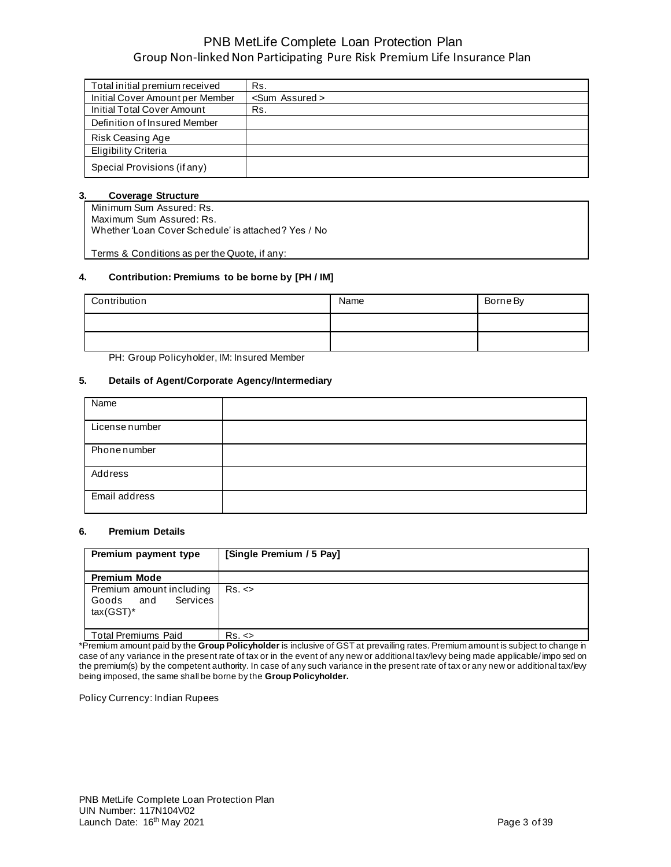| Total initial premium received  | Rs.                    |
|---------------------------------|------------------------|
| Initial Cover Amount per Member | <sum assured=""></sum> |
| Initial Total Cover Amount      | Rs.                    |
| Definition of Insured Member    |                        |
| Risk Ceasing Age                |                        |
| <b>Eligibility Criteria</b>     |                        |
| Special Provisions (if any)     |                        |

#### **3. Coverage Structure**

Minimum Sum Assured: Rs. Maximum Sum Assured: Rs. Whether 'Loan Cover Schedule' is attached? Yes / No

Terms & Conditions as per the Quote, if any:

#### **4. Contribution: Premiums to be borne by [PH / IM]**

| Contribution | Name | Borne By |
|--------------|------|----------|
|              |      |          |
|              |      |          |

PH: Group Policyholder, IM: Insured Member

#### **5. Details of Agent/Corporate Agency/Intermediary**

| Name           |  |
|----------------|--|
| License number |  |
| Phone number   |  |
| Address        |  |
| Email address  |  |

#### **6. Premium Details**

| Premium payment type                                                     | [Single Premium / 5 Pay] |
|--------------------------------------------------------------------------|--------------------------|
| <b>Premium Mode</b>                                                      |                          |
| Premium amount including<br><b>Services</b><br>Goods and<br>$tax(GST)^*$ | $Rs. \Leftrightarrow$    |
| <b>Total Premiums Paid</b>                                               | $Rs. \Leftrightarrow$    |

\*Premium amount paid by the **Group Policyholder** is inclusive of GST at prevailing rates. Premium amount is subject to change in case of any variance in the present rate of tax or in the event of any new or additional tax/levy being made applicable/ impo sed on the premium(s) by the competent authority. In case of any such variance in the present rate of tax or any new or additional tax/levy being imposed, the same shall be borne by the **Group Policyholder.** 

Policy Currency: Indian Rupees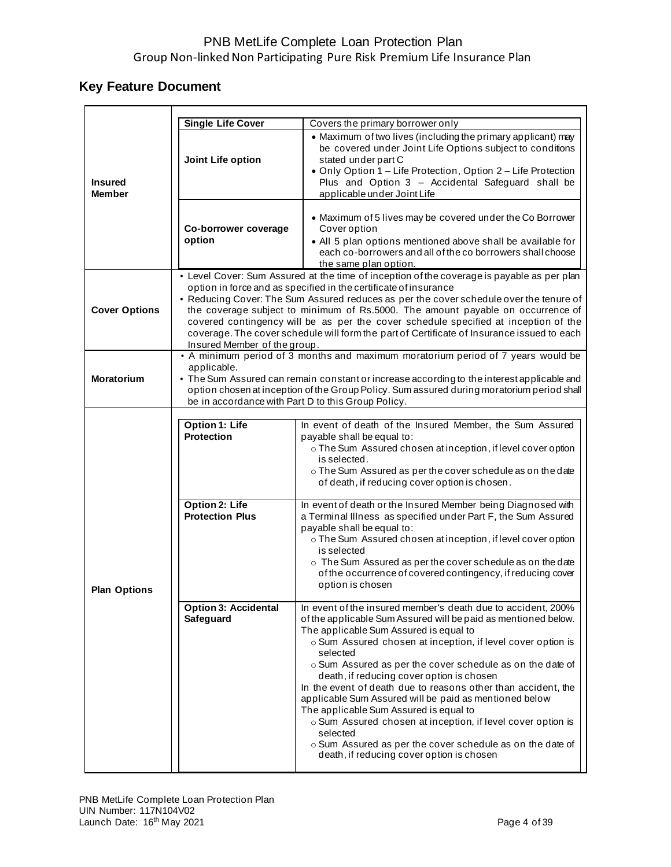# **Key Feature Document**

|                                 | <b>Single Life Cover</b>                                                                                                                                                                                                                                                                                                                                                                                                                                                                                                                                         | Covers the primary borrower only                                                                                                                                                                                                                                                                                                                                                                                                                                                                                                                                                                                                                                                                                        |  |
|---------------------------------|------------------------------------------------------------------------------------------------------------------------------------------------------------------------------------------------------------------------------------------------------------------------------------------------------------------------------------------------------------------------------------------------------------------------------------------------------------------------------------------------------------------------------------------------------------------|-------------------------------------------------------------------------------------------------------------------------------------------------------------------------------------------------------------------------------------------------------------------------------------------------------------------------------------------------------------------------------------------------------------------------------------------------------------------------------------------------------------------------------------------------------------------------------------------------------------------------------------------------------------------------------------------------------------------------|--|
| <b>Insured</b><br><b>Member</b> | Joint Life option                                                                                                                                                                                                                                                                                                                                                                                                                                                                                                                                                | • Maximum of two lives (including the primary applicant) may<br>be covered under Joint Life Options subject to conditions<br>stated under part C<br>• Only Option 1 - Life Protection, Option 2 - Life Protection<br>Plus and Option 3 - Accidental Safeguard shall be<br>applicable under Joint Life                                                                                                                                                                                                                                                                                                                                                                                                                   |  |
|                                 | Co-borrower coverage<br>option                                                                                                                                                                                                                                                                                                                                                                                                                                                                                                                                   | • Maximum of 5 lives may be covered under the Co Borrower<br>Cover option<br>• All 5 plan options mentioned above shall be available for<br>each co-borrowers and all of the co borrowers shall choose<br>the same plan option.                                                                                                                                                                                                                                                                                                                                                                                                                                                                                         |  |
| <b>Cover Options</b>            | • Level Cover: Sum Assured at the time of inception of the coverage is payable as per plan<br>option in force and as specified in the certificate of insurance<br>• Reducing Cover: The Sum Assured reduces as per the cover schedule over the tenure of<br>the coverage subject to minimum of Rs.5000. The amount payable on occurrence of<br>covered contingency will be as per the cover schedule specified at inception of the<br>coverage. The cover schedule will form the part of Certificate of Insurance issued to each<br>Insured Member of the group. |                                                                                                                                                                                                                                                                                                                                                                                                                                                                                                                                                                                                                                                                                                                         |  |
| <b>Moratorium</b>               | • A minimum period of 3 months and maximum moratorium period of 7 years would be<br>applicable.<br>• The Sum Assured can remain constant or increase according to the interest applicable and<br>option chosen at inception of the Group Policy. Sum assured during moratorium period shall<br>be in accordance with Part D to this Group Policy.                                                                                                                                                                                                                |                                                                                                                                                                                                                                                                                                                                                                                                                                                                                                                                                                                                                                                                                                                         |  |
|                                 | <b>Option 1: Life</b><br><b>Protection</b>                                                                                                                                                                                                                                                                                                                                                                                                                                                                                                                       | In event of death of the Insured Member, the Sum Assured<br>payable shall be equal to:<br>o The Sum Assured chosen at inception, if level cover option<br>is selected.<br>o The Sum Assured as per the cover schedule as on the date<br>of death, if reducing cover option is chosen.                                                                                                                                                                                                                                                                                                                                                                                                                                   |  |
| <b>Plan Options</b>             | <b>Option 2: Life</b><br><b>Protection Plus</b>                                                                                                                                                                                                                                                                                                                                                                                                                                                                                                                  | In event of death or the Insured Member being Diagnosed with<br>a Terminal Illness as specified under Part F, the Sum Assured<br>payable shall be equal to:<br>o The Sum Assured chosen at inception, if level cover option<br>is selected<br>o The Sum Assured as per the cover schedule as on the date<br>of the occurrence of covered contingency, if reducing cover<br>option is chosen                                                                                                                                                                                                                                                                                                                             |  |
|                                 | <b>Option 3: Accidental</b><br>Safeguard                                                                                                                                                                                                                                                                                                                                                                                                                                                                                                                         | In event of the insured member's death due to accident, 200%<br>of the applicable Sum Assured will be paid as mentioned below.<br>The applicable Sum Assured is equal to<br>o Sum Assured chosen at inception, if level cover option is<br>selected<br>o Sum Assured as per the cover schedule as on the date of<br>death, if reducing cover option is chosen<br>In the event of death due to reasons other than accident, the<br>applicable Sum Assured will be paid as mentioned below<br>The applicable Sum Assured is equal to<br>o Sum Assured chosen at inception, if level cover option is<br>selected<br>o Sum Assured as per the cover schedule as on the date of<br>death, if reducing cover option is chosen |  |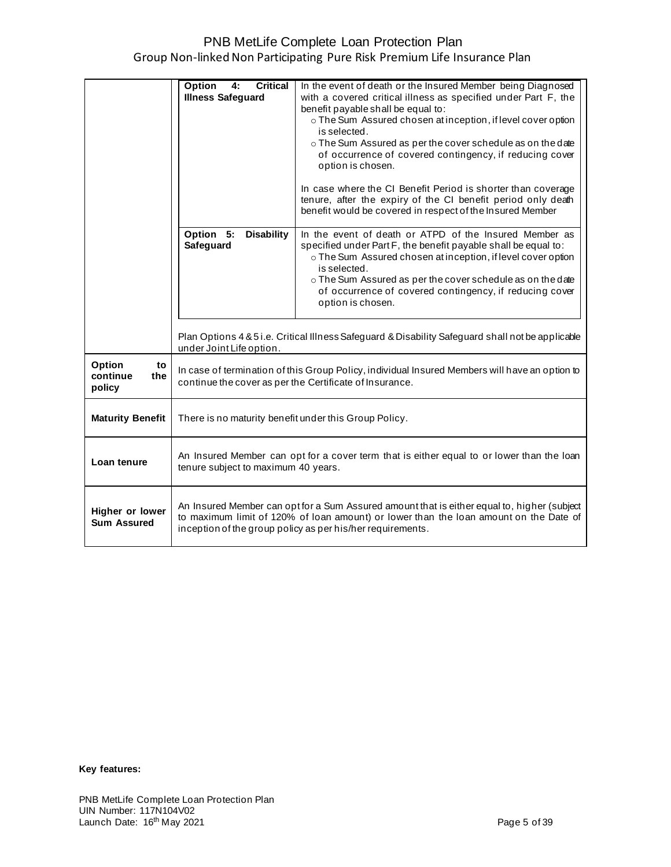|                         | Option<br><b>Critical</b><br>4:                                                             | In the event of death or the Insured Member being Diagnosed                                       |
|-------------------------|---------------------------------------------------------------------------------------------|---------------------------------------------------------------------------------------------------|
|                         | <b>Illness Safeguard</b>                                                                    | with a covered critical illness as specified under Part F, the                                    |
|                         |                                                                                             | benefit payable shall be equal to:                                                                |
|                         |                                                                                             | o The Sum Assured chosen at inception, if level cover option                                      |
|                         |                                                                                             | is selected.                                                                                      |
|                         |                                                                                             | o The Sum Assured as per the cover schedule as on the date                                        |
|                         |                                                                                             | of occurrence of covered contingency, if reducing cover                                           |
|                         |                                                                                             | option is chosen.                                                                                 |
|                         |                                                                                             |                                                                                                   |
|                         |                                                                                             | In case where the CI Benefit Period is shorter than coverage                                      |
|                         |                                                                                             | tenure, after the expiry of the CI benefit period only death                                      |
|                         |                                                                                             | benefit would be covered in respect of the Insured Member                                         |
|                         | <b>Disability</b><br>Option 5:                                                              | In the event of death or ATPD of the Insured Member as                                            |
|                         | Safeguard                                                                                   | specified under Part F, the benefit payable shall be equal to:                                    |
|                         |                                                                                             | o The Sum Assured chosen at inception, if level cover option                                      |
|                         |                                                                                             | is selected.                                                                                      |
|                         |                                                                                             | o The Sum Assured as per the cover schedule as on the date                                        |
|                         |                                                                                             | of occurrence of covered contingency, if reducing cover                                           |
|                         |                                                                                             | option is chosen.                                                                                 |
|                         |                                                                                             |                                                                                                   |
|                         |                                                                                             |                                                                                                   |
|                         |                                                                                             | Plan Options 4 & 5 i.e. Critical Illness Safeguard & Disability Safeguard shall not be applicable |
|                         | under Joint Life option.                                                                    |                                                                                                   |
| Option<br>to            |                                                                                             | In case of termination of this Group Policy, individual Insured Members will have an option to    |
| continue<br>the         |                                                                                             | continue the cover as per the Certificate of Insurance.                                           |
| policy                  |                                                                                             |                                                                                                   |
|                         |                                                                                             |                                                                                                   |
| <b>Maturity Benefit</b> | There is no maturity benefit under this Group Policy.                                       |                                                                                                   |
|                         |                                                                                             |                                                                                                   |
|                         |                                                                                             |                                                                                                   |
| Loan tenure             | An Insured Member can opt for a cover term that is either equal to or lower than the loan   |                                                                                                   |
|                         | tenure subject to maximum 40 years.                                                         |                                                                                                   |
|                         |                                                                                             |                                                                                                   |
|                         |                                                                                             |                                                                                                   |
| Higher or lower         | An Insured Member can opt for a Sum Assured amount that is either equal to, higher (subject |                                                                                                   |
| <b>Sum Assured</b>      | to maximum limit of 120% of loan amount) or lower than the loan amount on the Date of       |                                                                                                   |
|                         | inception of the group policy as per his/her requirements.                                  |                                                                                                   |
|                         |                                                                                             |                                                                                                   |

#### **Key features:**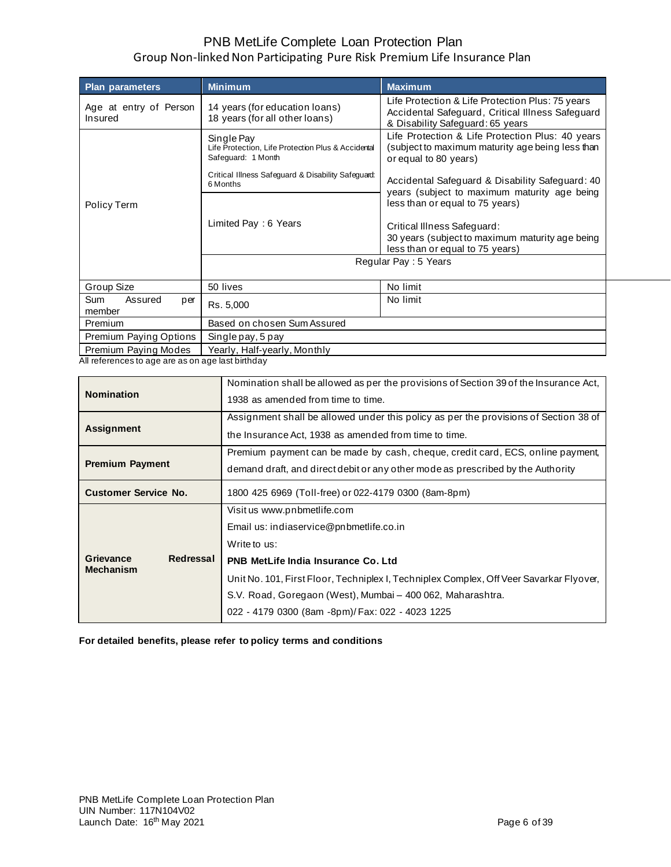| <b>Plan parameters</b>                                                   | <b>Minimum</b>                                                                         | <b>Maximum</b>                                                                                                                           |  |
|--------------------------------------------------------------------------|----------------------------------------------------------------------------------------|------------------------------------------------------------------------------------------------------------------------------------------|--|
| Age at entry of Person<br>Insured                                        | 14 years (for education loans)<br>18 years (for all other loans)                       | Life Protection & Life Protection Plus: 75 years<br>Accidental Safeguard, Critical Illness Safeguard<br>& Disability Safeguard: 65 years |  |
|                                                                          | Single Pay<br>Life Protection, Life Protection Plus & Accidental<br>Safeguard: 1 Month | Life Protection & Life Protection Plus: 40 years<br>(subject to maximum maturity age being less than<br>or equal to 80 years)            |  |
|                                                                          | Critical Illness Safeguard & Disability Safeguard:<br>6 Months                         | Accidental Safeguard & Disability Safeguard: 40                                                                                          |  |
| Policy Term                                                              |                                                                                        | years (subject to maximum maturity age being<br>less than or equal to 75 years)                                                          |  |
|                                                                          | Limited Pay: 6 Years                                                                   | Critical Illness Safeguard:                                                                                                              |  |
|                                                                          |                                                                                        | 30 years (subject to maximum maturity age being<br>less than or equal to 75 years)                                                       |  |
|                                                                          | Regular Pay: 5 Years                                                                   |                                                                                                                                          |  |
| Group Size                                                               | 50 lives                                                                               | No limit                                                                                                                                 |  |
| <b>Sum</b><br>Assured<br>per<br>member                                   | Rs. 5,000                                                                              | No limit                                                                                                                                 |  |
| Premium                                                                  | Based on chosen Sum Assured                                                            |                                                                                                                                          |  |
| Premium Paying Options                                                   | Single pay, 5 pay                                                                      |                                                                                                                                          |  |
| Premium Paying Modes<br>All references to age are as en age last bithday | Yearly, Half-yearly, Monthly                                                           |                                                                                                                                          |  |

All references to age are as on age last birthday

| <b>Nomination</b>                          | Nomination shall be allowed as per the provisions of Section 39 of the Insurance Act,<br>1938 as amended from time to time.                                                                                                                                                                                                                |
|--------------------------------------------|--------------------------------------------------------------------------------------------------------------------------------------------------------------------------------------------------------------------------------------------------------------------------------------------------------------------------------------------|
| <b>Assignment</b>                          | Assignment shall be allowed under this policy as per the provisions of Section 38 of<br>the Insurance Act, 1938 as amended from time to time.                                                                                                                                                                                              |
| <b>Premium Payment</b>                     | Premium payment can be made by cash, cheque, credit card, ECS, online payment,<br>demand draft, and direct debit or any other mode as prescribed by the Authority                                                                                                                                                                          |
| <b>Customer Service No.</b>                | 1800 425 6969 (Toll-free) or 022-4179 0300 (8am-8pm)                                                                                                                                                                                                                                                                                       |
| Redressal<br>Grievance<br><b>Mechanism</b> | Visit us www.pnbmetlife.com<br>Email us: indiaservice@pnbmetlife.co.in<br>Write to us:<br>PNB MetLife India Insurance Co. Ltd<br>Unit No. 101, First Floor, Techniplex I, Techniplex Complex, Off Veer Savarkar Flyover,<br>S.V. Road, Goregaon (West), Mumbai - 400 062, Maharashtra.<br>022 - 4179 0300 (8am -8pm)/ Fax: 022 - 4023 1225 |

**For detailed benefits, please refer to policy terms and conditions**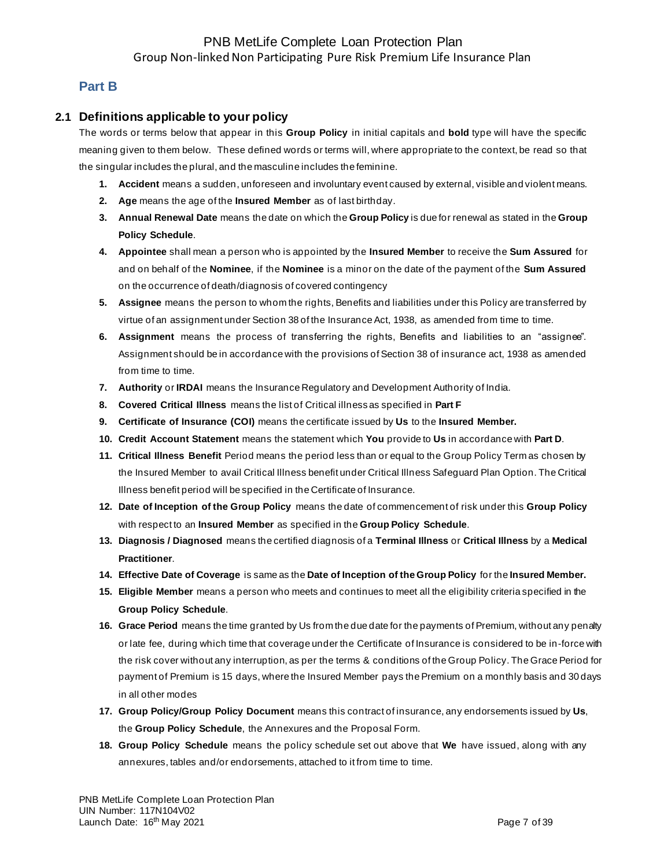## **Part B**

### **2.1 Definitions applicable to your policy**

The words or terms below that appear in this **Group Policy** in initial capitals and **bold** type will have the specific meaning given to them below. These defined words or terms will, where appropriate to the context, be read so that the singular includes the plural, and the masculine includes the feminine.

- **1. Accident** means a sudden, unforeseen and involuntary event caused by external, visible and violent means.
- **2. Age** means the age of the **Insured Member** as of last birthday.
- **3. Annual Renewal Date** means the date on which the **Group Policy** is due for renewal as stated in the **Group Policy Schedule**.
- **4. Appointee** shall mean a person who is appointed by the **Insured Member** to receive the **Sum Assured** for and on behalf of the **Nominee**, if the **Nominee** is a minor on the date of the payment of the **Sum Assured** on the occurrence of death/diagnosis of covered contingency
- **5. Assignee** means the person to whom the rights, Benefits and liabilities under this Policy are transferred by virtue of an assignment under Section 38 of the Insurance Act, 1938, as amended from time to time.
- **6. Assignment** means the process of transferring the rights, Benefits and liabilities to an "assignee". Assignment should be in accordance with the provisions of Section 38 of insurance act, 1938 as amended from time to time.
- **7. Authority** or **IRDAI** means the Insurance Regulatory and Development Authority of India.
- **8. Covered Critical Illness** means the list of Critical illness as specified in **Part F**
- **9. Certificate of Insurance (COI)** means the certificate issued by **Us** to the **Insured Member.**
- **10. Credit Account Statement** means the statement which **You** provide to **Us** in accordance with **Part D**.
- **11. Critical Illness Benefit** Period means the period less than or equal to the Group Policy Term as chosen by the Insured Member to avail Critical Illness benefit under Critical Illness Safeguard Plan Option. The Critical Illness benefit period will be specified in the Certificate of Insurance.
- **12. Date of Inception of the Group Policy** means the date of commencement of risk under this **Group Policy** with respect to an **Insured Member** as specified in the **Group Policy Schedule**.
- **13. Diagnosis / Diagnosed** means the certified diagnosis of a **Terminal Illness** or **Critical Illness** by a **Medical Practitioner**.
- **14. Effective Date of Coverage** is same as the **Date of Inception of the Group Policy** for the **Insured Member.**
- **15. Eligible Member** means a person who meets and continues to meet all the eligibility criteria specified in the **Group Policy Schedule**.
- **16. Grace Period** means the time granted by Us from the due date for the payments of Premium, without any penalty or late fee, during which time that coverage under the Certificate of Insurance is considered to be in-force with the risk cover without any interruption, as per the terms & conditions of the Group Policy. The Grace Period for payment of Premium is 15 days, where the Insured Member pays the Premium on a monthly basis and 30 days in all other modes
- **17. Group Policy/Group Policy Document** means this contract of insurance, any endorsements issued by **Us**, the **Group Policy Schedule**, the Annexures and the Proposal Form.
- **18. Group Policy Schedule** means the policy schedule set out above that **We** have issued, along with any annexures, tables and/or endorsements, attached to it from time to time.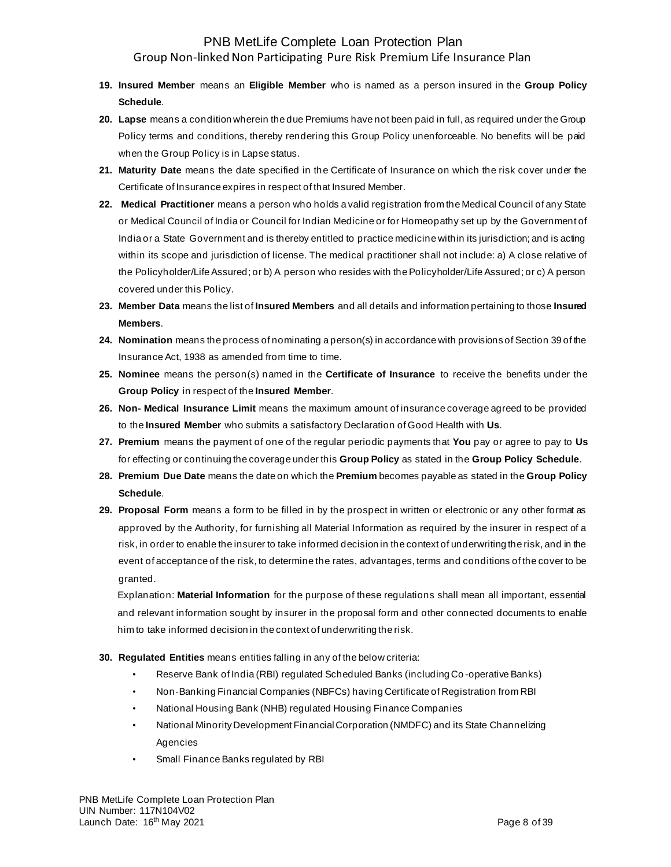- **19. Insured Member** means an **Eligible Member** who is named as a person insured in the **Group Policy Schedule**.
- **20. Lapse** means a condition wherein the due Premiums have not been paid in full, as required under the Group Policy terms and conditions, thereby rendering this Group Policy unenforceable. No benefits will be paid when the Group Policy is in Lapse status.
- **21. Maturity Date** means the date specified in the Certificate of Insurance on which the risk cover under the Certificate of Insurance expires in respect of that Insured Member.
- **22. Medical Practitioner** means a person who holds a valid registration from the Medical Council of any State or Medical Council of India or Council for Indian Medicine or for Homeopathy set up by the Government of India or a State Government and is thereby entitled to practice medicine within its jurisdiction; and is acting within its scope and jurisdiction of license. The medical p ractitioner shall not include: a) A close relative of the Policyholder/Life Assured; or b) A person who resides with the Policyholder/Life Assured; or c) A person covered under this Policy.
- **23. Member Data** means the list of **Insured Members** and all details and information pertaining to those **Insured Members**.
- **24. Nomination** means the process of nominating a person(s) in accordance with provisions of Section 39 of the Insurance Act, 1938 as amended from time to time.
- **25. Nominee** means the person(s) named in the **Certificate of Insurance** to receive the benefits under the **Group Policy** in respect of the **Insured Member**.
- **26. Non- Medical Insurance Limit** means the maximum amount of insurance coverage agreed to be provided to the **Insured Member** who submits a satisfactory Declaration of Good Health with **Us**.
- **27. Premium** means the payment of one of the regular periodic payments that **You** pay or agree to pay to **Us** for effecting or continuing the coverage under this **Group Policy** as stated in the **Group Policy Schedule**.
- **28. Premium Due Date** means the date on which the **Premium** becomes payable as stated in the **Group Policy Schedule**.
- **29. Proposal Form** means a form to be filled in by the prospect in written or electronic or any other format as approved by the Authority, for furnishing all Material Information as required by the insurer in respect of a risk, in order to enable the insurer to take informed decision in the context of underwriting the risk, and in the event of acceptance of the risk, to determine the rates, advantages, terms and conditions of the cover to be granted.

Explanation: **Material Information** for the purpose of these regulations shall mean all important, essential and relevant information sought by insurer in the proposal form and other connected documents to enable him to take informed decision in the context of underwriting the risk.

- **30. Regulated Entities** means entities falling in any of the below criteria:
	- Reserve Bank of India (RBI) regulated Scheduled Banks (including Co -operative Banks)
	- Non-Banking Financial Companies (NBFCs) having Certificate of Registration from RBI
	- National Housing Bank (NHB) regulated Housing Finance Companies
	- National Minority Development Financial Corporation (NMDFC) and its State Channelizing Agencies
	- Small Finance Banks regulated by RBI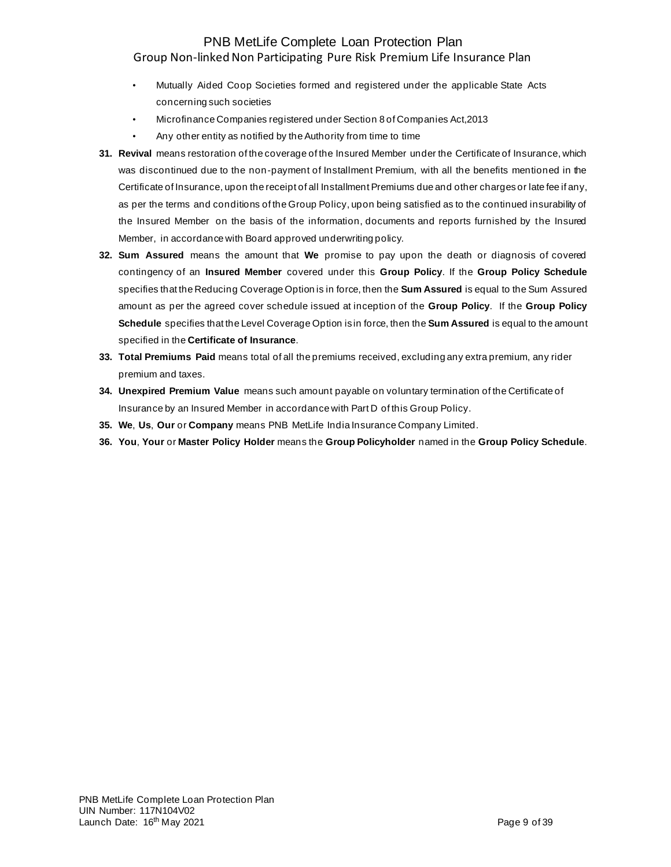- Mutually Aided Coop Societies formed and registered under the applicable State Acts concerning such societies
- Microfinance Companies registered under Section 8 of Companies Act,2013
- Any other entity as notified by the Authority from time to time
- **31. Revival** means restoration of the coverage of the Insured Member under the Certificate of Insurance, which was discontinued due to the non-payment of Installment Premium, with all the benefits mentioned in the Certificate of Insurance, upon the receipt of all Installment Premiums due and other charges or late fee if any, as per the terms and conditions of the Group Policy, upon being satisfied as to the continued insurability of the Insured Member on the basis of the information, documents and reports furnished by the Insured Member, in accordance with Board approved underwriting policy.
- **32. Sum Assured** means the amount that **We** promise to pay upon the death or diagnosis of covered contingency of an **Insured Member** covered under this **Group Policy**. If the **Group Policy Schedule** specifies that the Reducing Coverage Option is in force, then the **Sum Assured** is equal to the Sum Assured amount as per the agreed cover schedule issued at inception of the **Group Policy**. If the **Group Policy Schedule** specifies that the Level Coverage Option is in force, then the **Sum Assured** is equal to the amount specified in the **Certificate of Insurance**.
- **33. Total Premiums Paid** means total of all the premiums received, excluding any extra premium, any rider premium and taxes.
- **34. Unexpired Premium Value** means such amount payable on voluntary termination of the Certificate of Insurance by an Insured Member in accordance with Part D of this Group Policy.
- **35. We**, **Us**, **Our** or **Company** means PNB MetLife India Insurance Company Limited.
- **36. You**, **Your** or **Master Policy Holder** means the **Group Policyholder** named in the **Group Policy Schedule**.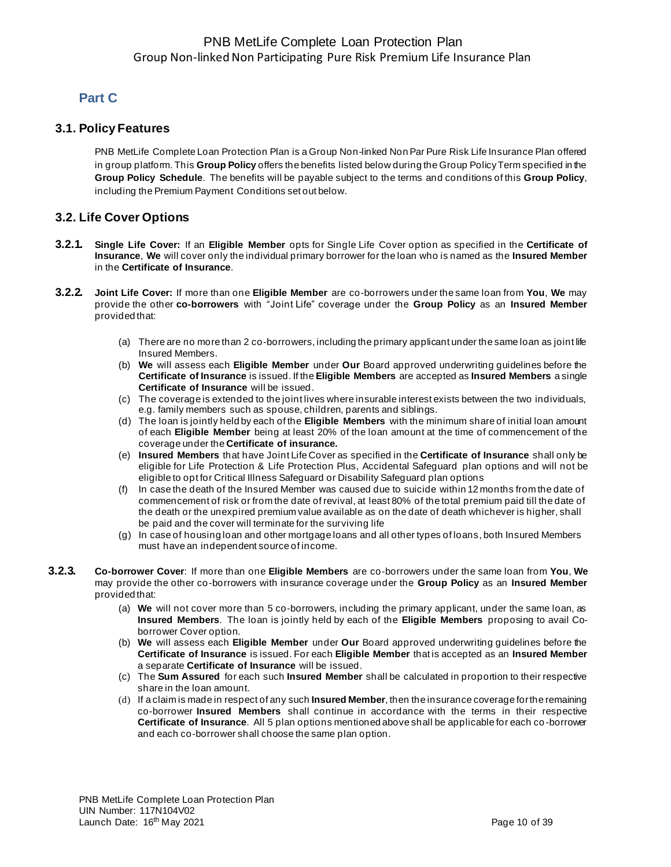# **Part C**

### **3.1. Policy Features**

PNB MetLife Complete Loan Protection Plan is a Group Non-linked Non Par Pure Risk Life Insurance Plan offered in group platform. This **Group Policy** offers the benefits listed below during the Group Policy Term specified in the **Group Policy Schedule**. The benefits will be payable subject to the terms and conditions of this **Group Policy**, including the Premium Payment Conditions set out below.

## **3.2. Life Cover Options**

- **3.2.1. Single Life Cover:** If an **Eligible Member** opts for Single Life Cover option as specified in the **Certificate of Insurance**, **We** will cover only the individual primary borrower for the loan who is named as the **Insured Member** in the **Certificate of Insurance**.
- **3.2.2. Joint Life Cover:** If more than one **Eligible Member** are co-borrowers under the same loan from **You**, **We** may provide the other **co-borrowers** with "Joint Life" coverage under the **Group Policy** as an **Insured Member** provided that:
	- (a) There are no more than 2 co-borrowers, including the primary applicant under the same loan as joint life Insured Members.
	- (b) **We** will assess each **Eligible Member** under **Our** Board approved underwriting guidelines before the **Certificate of Insurance** is issued. If the **Eligible Members** are accepted as **Insured Members** a single **Certificate of Insurance** will be issued.
	- (c) The coverage is extended to the joint lives where insurable interest exists between the two individuals, e.g. family members such as spouse, children, parents and siblings.
	- (d) The loan is jointly held by each of the **Eligible Members** with the minimum share of initial loan amount of each **Eligible Member** being at least 20% of the loan amount at the time of commencement of the coverage under the **Certificate of insurance.**
	- (e) **Insured Members** that have Joint Life Cover as specified in the **Certificate of Insurance** shall only be eligible for Life Protection & Life Protection Plus, Accidental Safeguard plan options and will not be eligible to opt for Critical Illness Safeguard or Disability Safeguard plan options
	- (f) In case the death of the Insured Member was caused due to suicide within 12 months from the date of commencement of risk or from the date of revival, at least 80% of the total premium paid till the date of the death or the unexpired premium value available as on the date of death whichever is higher, shall be paid and the cover will terminate for the surviving life
	- (g) In case of housing loan and other mortgage loans and all other types of loans, both Insured Members must have an independent source of income.
- **3.2.3. Co-borrower Cover**: If more than one **Eligible Members** are co-borrowers under the same loan from **You**, **We** may provide the other co-borrowers with insurance coverage under the **Group Policy** as an **Insured Member** provided that:
	- (a) **We** will not cover more than 5 co-borrowers, including the primary applicant, under the same loan, as **Insured Members**. The loan is jointly held by each of the **Eligible Members** proposing to avail Coborrower Cover option.
	- (b) **We** will assess each **Eligible Member** under **Our** Board approved underwriting guidelines before the **Certificate of Insurance** is issued. For each **Eligible Member** that is accepted as an **Insured Member** a separate **Certificate of Insurance** will be issued.
	- (c) The **Sum Assured** for each such **Insured Member** shall be calculated in proportion to their respective share in the loan amount.
	- (d) If a claim is made in respect of any such **Insured Member**, then the insurance coverage for the remaining co-borrower **Insured Members** shall continue in accordance with the terms in their respective **Certificate of Insurance**. All 5 plan options mentioned above shall be applicable for each co -borrower and each co-borrower shall choose the same plan option.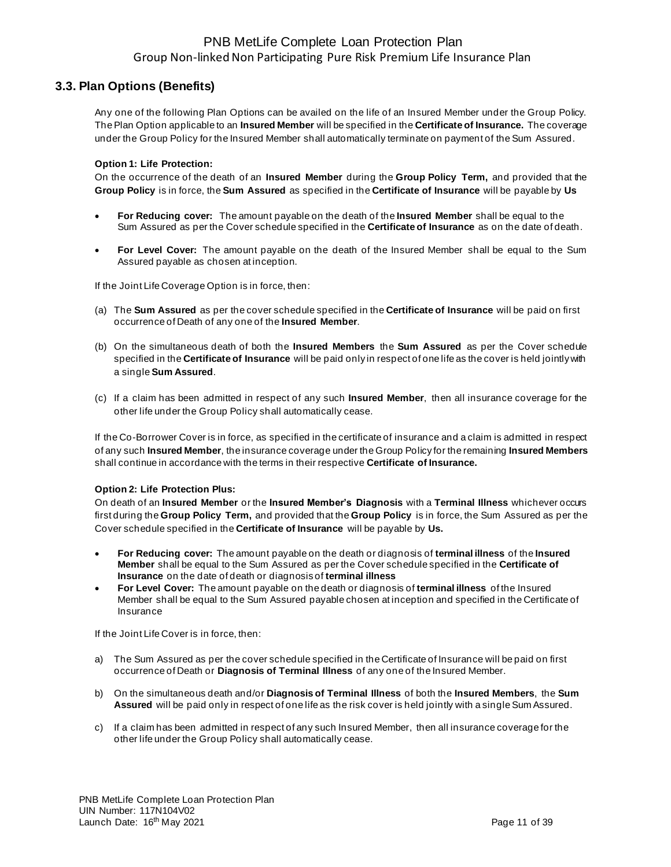### **3.3. Plan Options (Benefits)**

Any one of the following Plan Options can be availed on the life of an Insured Member under the Group Policy. The Plan Option applicable to an **Insured Member** will be specified in the **Certificate of Insurance.** The coverage under the Group Policy for the Insured Member shall automatically terminate on payment of the Sum Assured.

#### **Option 1: Life Protection:**

On the occurrence of the death of an **Insured Member** during the **Group Policy Term,** and provided that the **Group Policy** is in force, the **Sum Assured** as specified in the **Certificate of Insurance** will be payable by **Us**

- **For Reducing cover:** The amount payable on the death of the **Insured Member** shall be equal to the Sum Assured as per the Cover schedule specified in the **Certificate of Insurance** as on the date of death.
- **For Level Cover:** The amount payable on the death of the Insured Member shall be equal to the Sum Assured payable as chosen at inception.

If the Joint Life Coverage Option is in force, then:

- (a) The **Sum Assured** as per the cover schedule specified in the **Certificate of Insurance** will be paid on first occurrence of Death of any one of the **Insured Member**.
- (b) On the simultaneous death of both the **Insured Members** the **Sum Assured** as per the Cover schedule specified in the **Certificate of Insurance** will be paid only in respect of one life as the cover is held jointly with a single **Sum Assured**.
- (c) If a claim has been admitted in respect of any such **Insured Member**, then all insurance coverage for the other life under the Group Policy shall automatically cease.

If the Co-Borrower Cover is in force, as specified in the certificate of insurance and a claim is admitted in respect of any such **Insured Member**, the insurance coverage under the Group Policy for the remaining **Insured Members** shall continue in accordance with the terms in their respective **Certificate of Insurance.**

#### **Option 2: Life Protection Plus:**

On death of an **Insured Member** or the **Insured Member's Diagnosis** with a **Terminal Illness** whichever occurs first during the **Group Policy Term,** and provided that the **Group Policy** is in force, the Sum Assured as per the Cover schedule specified in the **Certificate of Insurance** will be payable by **Us.**

- **For Reducing cover:** The amount payable on the death or diagnosis of **terminal illness** of the **Insured Member** shall be equal to the Sum Assured as per the Cover schedule specified in the **Certificate of Insurance** on the date of death or diagnosis of **terminal illness**
- **For Level Cover:** The amount payable on the death or diagnosis of **terminal illness** of the Insured Member shall be equal to the Sum Assured payable chosen at inception and specified in the Certificate of Insurance

If the Joint Life Cover is in force, then:

- a) The Sum Assured as per the cover schedule specified in the Certificate of Insurance will be paid on first occurrence of Death or **Diagnosis of Terminal Illness** of any one of the Insured Member.
- b) On the simultaneous death and/or **Diagnosis of Terminal Illness** of both the **Insured Members**, the **Sum Assured** will be paid only in respect of one life as the risk cover is held jointly with a single Sum Assured.
- c) If a claim has been admitted in respect of any such Insured Member, then all insurance coverage for the other life under the Group Policy shall automatically cease.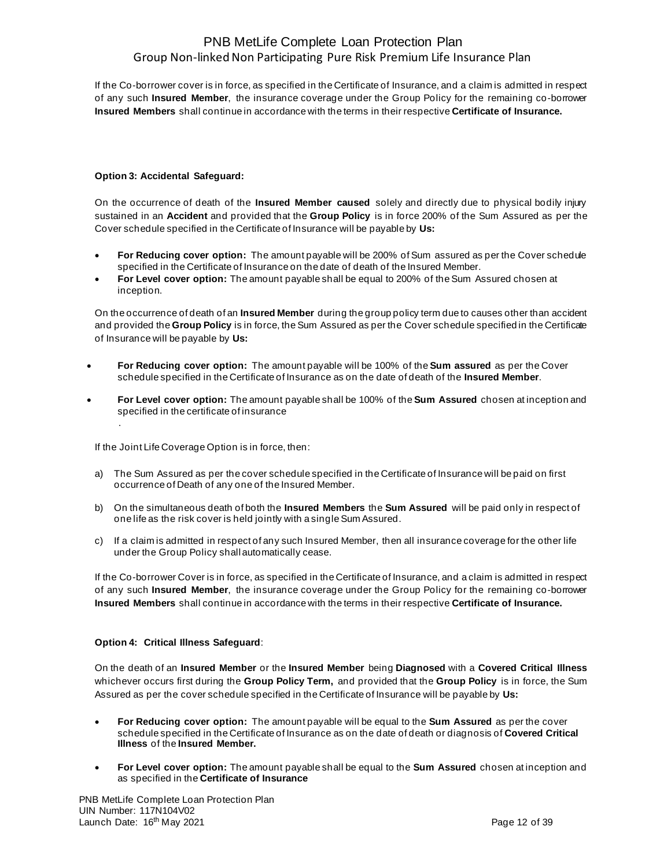If the Co-borrower cover is in force, as specified in the Certificate of Insurance, and a claim is admitted in respect of any such **Insured Member**, the insurance coverage under the Group Policy for the remaining co-borrower **Insured Members** shall continue in accordance with the terms in their respective **Certificate of Insurance.**

#### **Option 3: Accidental Safeguard:**

On the occurrence of death of the **Insured Member caused** solely and directly due to physical bodily injury sustained in an **Accident** and provided that the **Group Policy** is in force 200% of the Sum Assured as per the Cover schedule specified in the Certificate of Insurance will be payable by **Us:** 

- **For Reducing cover option:** The amount payable will be 200% of Sum assured as per the Cover schedule specified in the Certificate of Insurance on the date of death of the Insured Member.
- **For Level cover option:** The amount payable shall be equal to 200% of the Sum Assured chosen at inception.

On the occurrence of death of an **Insured Member** during the group policy term due to causes other than accident and provided the **Group Policy** is in force, the Sum Assured as per the Cover schedule specified in the Certificate of Insurance will be payable by **Us:** 

- **For Reducing cover option:** The amount payable will be 100% of the **Sum assured** as per the Cover schedule specified in the Certificate of Insurance as on the date of death of the **Insured Member**.
- **For Level cover option:** The amount payable shall be 100% of the **Sum Assured** chosen at inception and specified in the certificate of insurance

If the Joint Life Coverage Option is in force, then:

.

- a) The Sum Assured as per the cover schedule specified in the Certificate of Insurance will be paid on first occurrence of Death of any one of the Insured Member.
- b) On the simultaneous death of both the **Insured Members** the **Sum Assured** will be paid only in respect of one life as the risk cover is held jointly with a single Sum Assured.
- c) If a claim is admitted in respect of any such Insured Member, then all insurance coverage for the other life under the Group Policy shall automatically cease.

If the Co-borrower Cover is in force, as specified in the Certificate of Insurance, and a claim is admitted in respect of any such **Insured Member**, the insurance coverage under the Group Policy for the remaining co-borrower **Insured Members** shall continue in accordance with the terms in their respective **Certificate of Insurance.**

#### **Option 4: Critical Illness Safeguard**:

On the death of an **Insured Member** or the **Insured Member** being **Diagnosed** with a **Covered Critical Illness** whichever occurs first during the **Group Policy Term,** and provided that the **Group Policy** is in force, the Sum Assured as per the cover schedule specified in the Certificate of Insurance will be payable by **Us:**

- **For Reducing cover option:** The amount payable will be equal to the **Sum Assured** as per the cover schedule specified in the Certificate of Insurance as on the date of death or diagnosis of **Covered Critical Illness** of the **Insured Member.**
- **For Level cover option:** The amount payable shall be equal to the **Sum Assured** chosen at inception and as specified in the **Certificate of Insurance**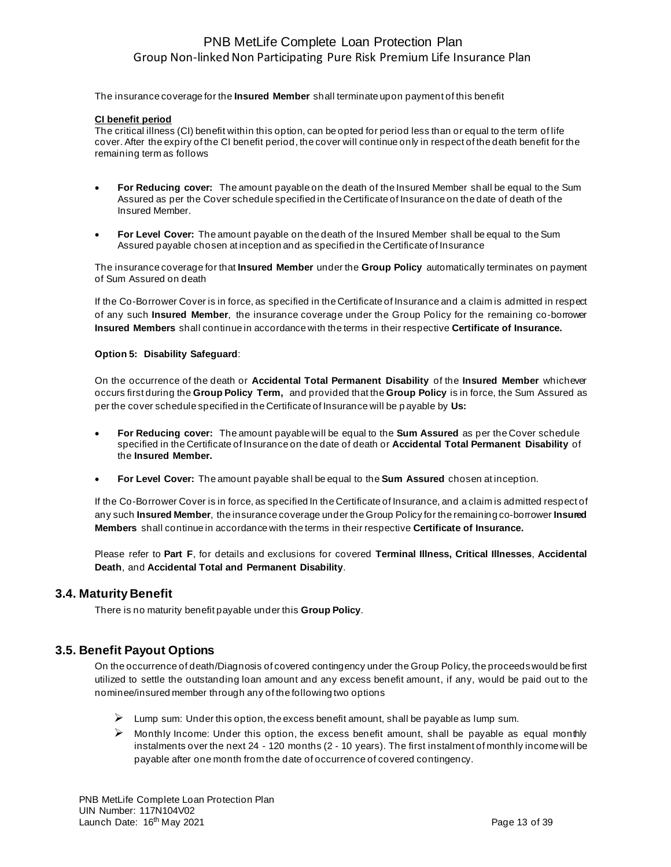The insurance coverage for the **Insured Member** shall terminate upon payment of this benefit

#### **CI benefit period**

The critical illness (CI) benefit within this option, can be opted for period less than or equal to the term of life cover. After the expiry of the CI benefit period, the cover will continue only in respect of the death benefit for the remaining term as follows

- **For Reducing cover:** The amount payable on the death of the Insured Member shall be equal to the Sum Assured as per the Cover schedule specified in the Certificate of Insurance on the date of death of the Insured Member.
- **For Level Cover:** The amount payable on the death of the Insured Member shall be equal to the Sum Assured payable chosen at inception and as specified in the Certificate of Insurance

The insurance coverage for that **Insured Member** under the **Group Policy** automatically terminates on payment of Sum Assured on death

If the Co-Borrower Cover is in force, as specified in the Certificate of Insurance and a claim is admitted in respect of any such **Insured Member**, the insurance coverage under the Group Policy for the remaining co-borrower **Insured Members** shall continue in accordance with the terms in their respective **Certificate of Insurance.**

#### **Option 5: Disability Safeguard**:

On the occurrence of the death or **Accidental Total Permanent Disability** of the **Insured Member** whichever occurs first during the **Group Policy Term,** and provided that the **Group Policy** is in force, the Sum Assured as per the cover schedule specified in the Certificate of Insurance will be p ayable by **Us:**

- **For Reducing cover:** The amount payable will be equal to the **Sum Assured** as per the Cover schedule specified in the Certificate of Insurance on the date of death or **Accidental Total Permanent Disability** of the **Insured Member.**
- **For Level Cover:** The amount payable shall be equal to the **Sum Assured** chosen at inception.

If the Co-Borrower Cover is in force, as specified In the Certificate of Insurance, and a claim is admitted respect of any such **Insured Member**, the insurance coverage under the Group Policy for the remaining co-borrower **Insured Members** shall continue in accordance with the terms in their respective **Certificate of Insurance.**

Please refer to **Part F**, for details and exclusions for covered **Terminal Illness, Critical Illnesses**, **Accidental Death**, and **Accidental Total and Permanent Disability**.

### **3.4. Maturity Benefit**

There is no maturity benefit payable under this **Group Policy**.

### **3.5. Benefit Payout Options**

On the occurrence of death/Diagnosis of covered contingency under the Group Policy, the proceeds would be first utilized to settle the outstanding loan amount and any excess benefit amount, if any, would be paid out to the nominee/insured member through any of the following two options

- $\triangleright$  Lump sum: Under this option, the excess benefit amount, shall be payable as lump sum.
- $\triangleright$  Monthly Income: Under this option, the excess benefit amount, shall be payable as equal monthly instalments over the next 24 - 120 months (2 - 10 years). The first instalment of monthly income will be payable after one month from the date of occurrence of covered contingency.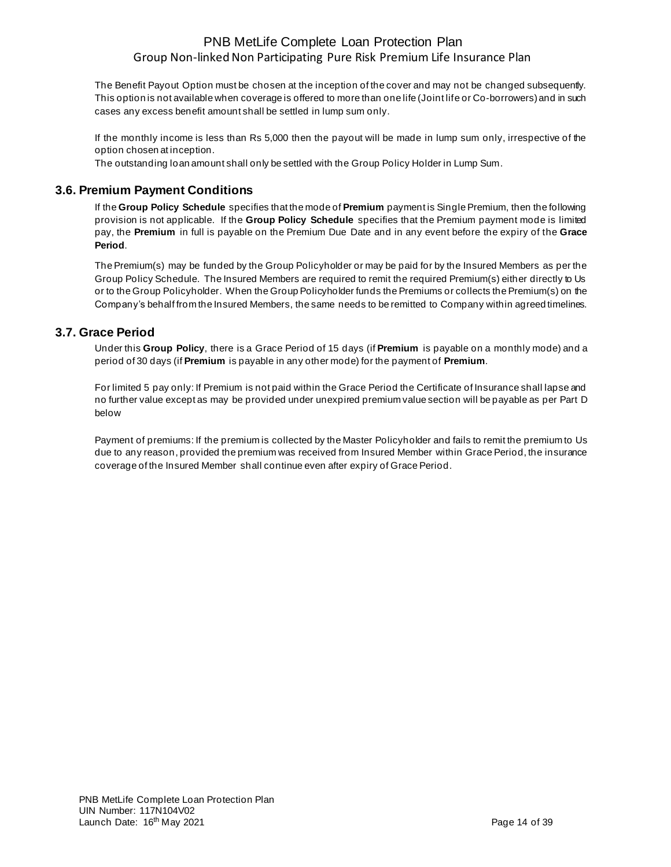The Benefit Payout Option must be chosen at the inception of the cover and may not be changed subsequently. This option is not available when coverage is offered to more than one life (Joint life or Co-borrowers) and in such cases any excess benefit amount shall be settled in lump sum only.

If the monthly income is less than Rs 5,000 then the payout will be made in lump sum only, irrespective of the option chosen at inception.

The outstanding loan amount shall only be settled with the Group Policy Holder in Lump Sum.

### **3.6. Premium Payment Conditions**

If the **Group Policy Schedule** specifies that the mode of **Premium** payment is Single Premium, then the following provision is not applicable. If the **Group Policy Schedule** specifies that the Premium payment mode is limited pay, the **Premium** in full is payable on the Premium Due Date and in any event before the expiry of the **Grace Period**.

The Premium(s) may be funded by the Group Policyholder or may be paid for by the Insured Members as per the Group Policy Schedule. The Insured Members are required to remit the required Premium(s) either directly to Us or to the Group Policyholder. When the Group Policyholder funds the Premiums or collects the Premium(s) on the Company's behalf from the Insured Members, the same needs to be remitted to Company within agreed timelines.

### **3.7. Grace Period**

Under this **Group Policy**, there is a Grace Period of 15 days (if **Premium** is payable on a monthly mode) and a period of 30 days (if **Premium** is payable in any other mode) for the payment of **Premium**.

For limited 5 pay only: If Premium is not paid within the Grace Period the Certificate of Insurance shall lapse and no further value except as may be provided under unexpired premium value section will be payable as per Part D below

Payment of premiums: If the premium is collected by the Master Policyholder and fails to remit the premium to Us due to any reason, provided the premium was received from Insured Member within Grace Period, the insurance coverage of the Insured Member shall continue even after expiry of Grace Period.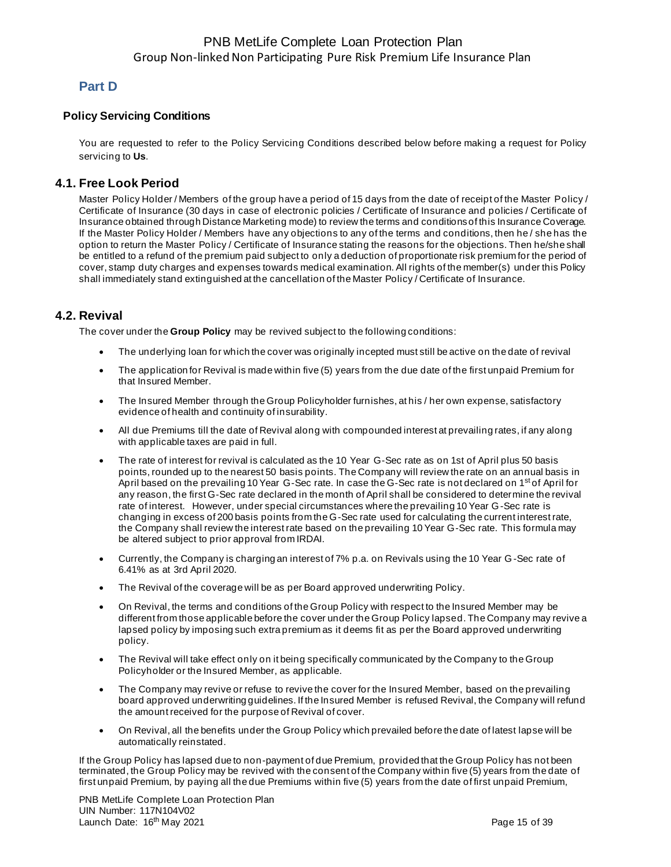## **Part D**

### **Policy Servicing Conditions**

You are requested to refer to the Policy Servicing Conditions described below before making a request for Policy servicing to **Us**.

#### **4.1. Free Look Period**

Master Policy Holder / Members of the group have a period of 15 days from the date of receipt of the Master Policy / Certificate of Insurance (30 days in case of electronic policies / Certificate of Insurance and policies / Certificate of Insurance obtained through Distance Marketing mode) to review the terms and conditions of this Insurance Coverage. If the Master Policy Holder / Members have any objections to any of the terms and conditions, then he / she has the option to return the Master Policy / Certificate of Insurance stating the reasons for the objections. Then he/she shall be entitled to a refund of the premium paid subject to only a deduction of proportionate risk premium for the period of cover, stamp duty charges and expenses towards medical examination. All rights of the member(s) under this Policy shall immediately stand extinguished at the cancellation of the Master Policy / Certificate of Insurance.

### **4.2. Revival**

The cover under the **Group Policy** may be revived subject to the following conditions:

- The underlying loan for which the cover was originally incepted must still be active on the date of revival
- The application for Revival is made within five (5) years from the due date of the first unpaid Premium for that Insured Member.
- The Insured Member through the Group Policyholder furnishes, at his / her own expense, satisfactory evidence of health and continuity of insurability.
- All due Premiums till the date of Revival along with compounded interest at prevailing rates, if any along with applicable taxes are paid in full.
- The rate of interest for revival is calculated as the 10 Year G-Sec rate as on 1st of April plus 50 basis points, rounded up to the nearest 50 basis points. The Company will review the rate on an annual basis in April based on the prevailing 10 Year G-Sec rate. In case the G-Sec rate is not declared on 1<sup>st</sup> of April for any reason, the first G-Sec rate declared in the month of April shall be considered to determine the revival rate of interest. However, under special circumstances where the prevailing 10 Year G-Sec rate is changing in excess of 200 basis points from the G-Sec rate used for calculating the current interest rate, the Company shall review the interest rate based on the prevailing 10 Year G-Sec rate. This formula may be altered subject to prior approval from IRDAI.
- Currently, the Company is charging an interest of 7% p.a. on Revivals using the 10 Year G-Sec rate of 6.41% as at 3rd April 2020.
- The Revival of the coverage will be as per Board approved underwriting Policy.
- On Revival, the terms and conditions of the Group Policy with respect to the Insured Member may be different from those applicable before the cover under the Group Policy lapsed. The Company may revive a lapsed policy by imposing such extra premium as it deems fit as per the Board approved underwriting policy.
- The Revival will take effect only on it being specifically communicated by the Company to the Group Policyholder or the Insured Member, as applicable.
- The Company may revive or refuse to revive the cover for the Insured Member, based on the prevailing board approved underwriting guidelines. If the Insured Member is refused Revival, the Company will refund the amount received for the purpose of Revival of cover.
- On Revival, all the benefits under the Group Policy which prevailed before the date of latest lapse will be automatically reinstated.

If the Group Policy has lapsed due to non-payment of due Premium, provided that the Group Policy has not been terminated, the Group Policy may be revived with the consent of the Company within five (5) years from the date of first unpaid Premium, by paying all the due Premiums within five (5) years from the date of first unpaid Premium,

PNB MetLife Complete Loan Protection Plan UIN Number: 117N104V02 Launch Date: 16<sup>th</sup> May 2021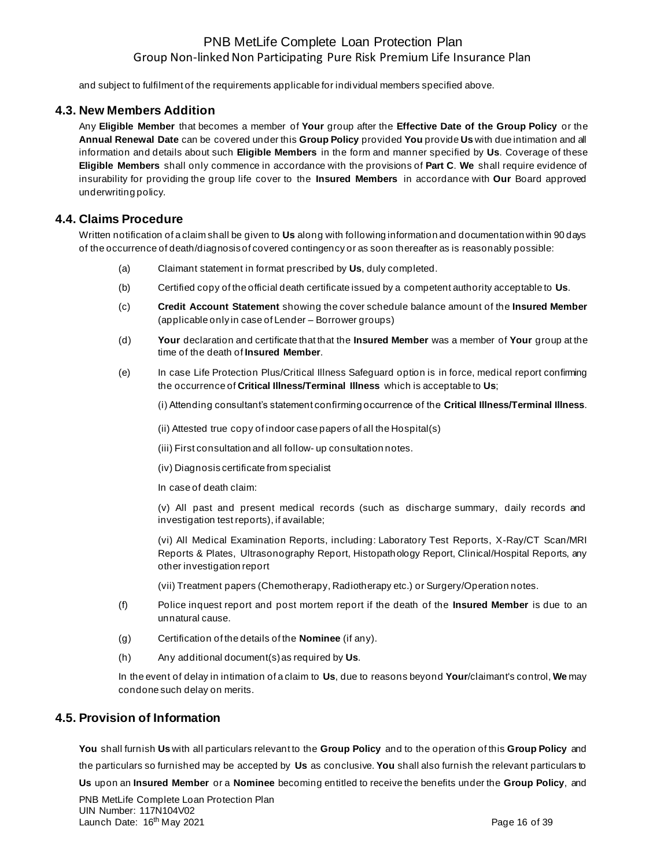and subject to fulfilment of the requirements applicable for individual members specified above.

### **4.3. New Members Addition**

Any **Eligible Member** that becomes a member of **Your** group after the **Effective Date of the Group Policy** or the **Annual Renewal Date** can be covered under this **Group Policy** provided **You** provide **Us** with due intimation and all information and details about such **Eligible Members** in the form and manner specified by **Us**. Coverage of these **Eligible Members** shall only commence in accordance with the provisions of **Part C**. **We** shall require evidence of insurability for providing the group life cover to the **Insured Members** in accordance with **Our** Board approved underwriting policy.

### **4.4. Claims Procedure**

Written notification of a claim shall be given to **Us** along with following information and documentation within 90 days of the occurrence of death/diagnosis of covered contingency or as soon thereafter as is reasonably possible:

- (a) Claimant statement in format prescribed by **Us**, duly completed.
- (b) Certified copy of the official death certificate issued by a competent authority acceptable to **Us**.
- (c) **Credit Account Statement** showing the cover schedule balance amount of the **Insured Member**  (applicable only in case of Lender – Borrower groups)
- (d) **Your** declaration and certificate that that the **Insured Member** was a member of **Your** group at the time of the death of **Insured Member**.
- (e) In case Life Protection Plus/Critical Illness Safeguard option is in force, medical report confirming the occurrence of **Critical Illness/Terminal Illness** which is acceptable to **Us**;

(i) Attending consultant's statement confirming occurrence of the **Critical Illness/Terminal Illness**.

(ii) Attested true copy of indoor case papers of all the Hospital(s)

(iii) First consultation and all follow- up consultation notes.

(iv) Diagnosis certificate from specialist

In case of death claim:

(v) All past and present medical records (such as discharge summary, daily records and investigation test reports), if available;

(vi) All Medical Examination Reports, including: Laboratory Test Reports, X-Ray/CT Scan/MRI Reports & Plates, Ultrasonography Report, Histopathology Report, Clinical/Hospital Reports, any other investigation report

(vii) Treatment papers (Chemotherapy, Radiotherapy etc.) or Surgery/Operation notes.

- (f) Police inquest report and post mortem report if the death of the **Insured Member** is due to an unnatural cause.
- (g) Certification of the details of the **Nominee** (if any).
- (h) Any additional document(s) as required by **Us**.

In the event of delay in intimation of a claim to **Us**, due to reasons beyond **Your**/claimant's control, **We** may condone such delay on merits.

### **4.5. Provision of Information**

**You** shall furnish **Us** with all particulars relevant to the **Group Policy** and to the operation of this **Group Policy** and the particulars so furnished may be accepted by **Us** as conclusive. **You** shall also furnish the relevant particulars to

**Us** upon an **Insured Member** or a **Nominee** becoming entitled to receive the benefits under the **Group Policy**, and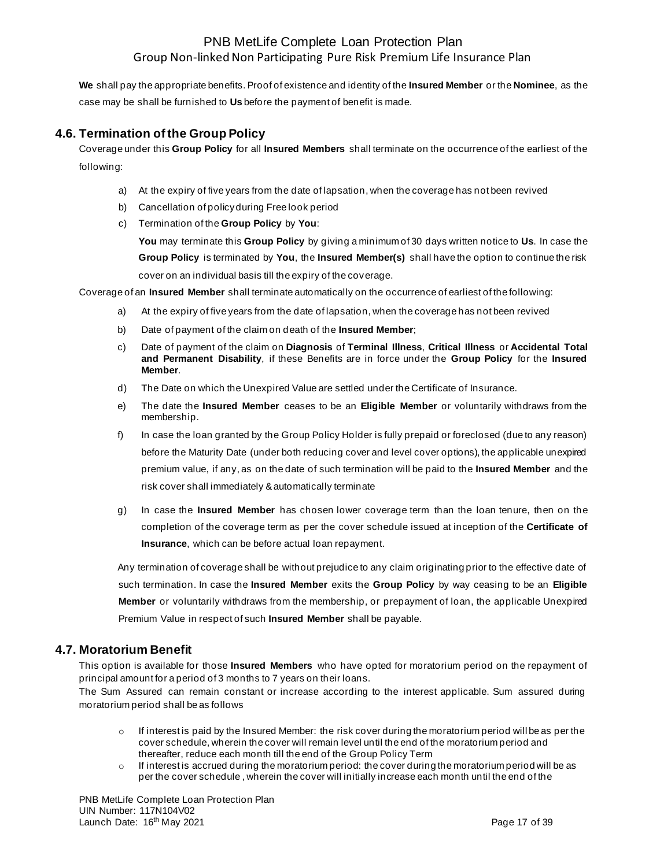**We** shall pay the appropriate benefits. Proof of existence and identity of the **Insured Member** or the **Nominee**, as the case may be shall be furnished to **Us** before the payment of benefit is made.

### **4.6. Termination of the Group Policy**

Coverage under this **Group Policy** for all **Insured Members** shall terminate on the occurrence of the earliest of the following:

- a) At the expiry of five years from the date of lapsation, when the coverage has not been revived
- b) Cancellation of policy during Free look period
- c) Termination of the **Group Policy** by **You**:

**You** may terminate this **Group Policy** by giving a minimum of 30 days written notice to **Us**. In case the **Group Policy** is terminated by **You**, the **Insured Member(s)** shall have the option to continue the risk cover on an individual basis till the expiry of the coverage.

Coverage of an **Insured Member** shall terminate automatically on the occurrence of earliest of the following:

- a) At the expiry of five years from the date of lapsation, when the coverage has not been revived
- b) Date of payment of the claim on death of the **Insured Member**;
- c) Date of payment of the claim on **Diagnosis** of **Terminal Illness**, **Critical Illness** or **Accidental Total and Permanent Disability**, if these Benefits are in force under the **Group Policy** for the **Insured Member**.
- d) The Date on which the Unexpired Value are settled under the Certificate of Insurance.
- e) The date the **Insured Member** ceases to be an **Eligible Member** or voluntarily withdraws from the membership.
- f) In case the loan granted by the Group Policy Holder is fully prepaid or foreclosed (due to any reason) before the Maturity Date (under both reducing cover and level cover options), the applicable unexpired premium value, if any, as on the date of such termination will be paid to the **Insured Member** and the risk cover shall immediately & automatically terminate
- g) In case the **Insured Member** has chosen lower coverage term than the loan tenure, then on the completion of the coverage term as per the cover schedule issued at inception of the **Certificate of Insurance**, which can be before actual loan repayment.

Any termination of coverage shall be without prejudice to any claim originating prior to the effective date of such termination. In case the **Insured Member** exits the **Group Policy** by way ceasing to be an **Eligible Member** or voluntarily withdraws from the membership, or prepayment of loan, the applicable Unexpired Premium Value in respect of such **Insured Member** shall be payable.

## **4.7. Moratorium Benefit**

This option is available for those **Insured Members** who have opted for moratorium period on the repayment of principal amount for a period of 3 months to 7 years on their loans.

The Sum Assured can remain constant or increase according to the interest applicable. Sum assured during moratorium period shall be as follows

- $\circ$  If interest is paid by the Insured Member: the risk cover during the moratorium period will be as per the cover schedule, wherein the cover will remain level until the end of the moratorium period and thereafter, reduce each month till the end of the Group Policy Term
- $\circ$  If interest is accrued during the moratorium period: the cover during the moratorium period will be as per the cover schedule , wherein the cover will initially increase each month until the end of the

PNB MetLife Complete Loan Protection Plan UIN Number: 117N104V02 Launch Date: 16<sup>th</sup> May 2021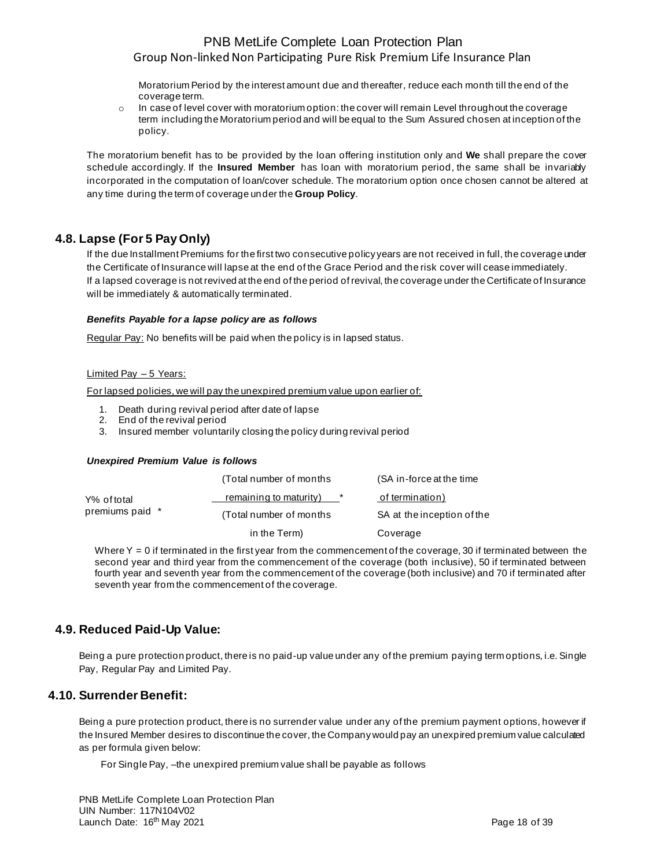Moratorium Period by the interest amount due and thereafter, reduce each month till the end of the coverage term.

 $\circ$  In case of level cover with moratorium option: the cover will remain Level throughout the coverage term including the Moratorium period and will be equal to the Sum Assured chosen at inception of the policy.

The moratorium benefit has to be provided by the loan offering institution only and **We** shall prepare the cover schedule accordingly. If the **Insured Member** has loan with moratorium period, the same shall be invariably incorporated in the computation of loan/cover schedule. The moratorium option once chosen cannot be altered at any time during the term of coverage under the **Group Policy**.

## **4.8. Lapse (For 5 Pay Only)**

If the due Installment Premiums for the first two consecutive policy years are not received in full, the coverage under the Certificate of Insurance will lapse at the end of the Grace Period and the risk cover will cease immediately. If a lapsed coverage is not revived at the end of the period of revival, the coverage under the Certificate of Insurance will be immediately & automatically terminated.

#### *Benefits Payable for a lapse policy are as follows*

Regular Pay: No benefits will be paid when the policy is in lapsed status.

#### Limited Pay – 5 Years:

For lapsed policies, we will pay the unexpired premium value upon earlier of:

- 1. Death during revival period after date of lapse
- 2. End of the revival period
- 3. Insured member voluntarily closing the policy during revival period

#### *Unexpired Premium Value is follows*

|                 | (Total number of months) | (SA in-force at the time   |
|-----------------|--------------------------|----------------------------|
| Y% of total     | remaining to maturity)   | of termination)            |
| premiums paid * | (Total number of months) | SA at the inception of the |
|                 | in the Term)             | Coverage                   |
|                 |                          |                            |

Where  $Y = 0$  if terminated in the first year from the commencement of the coverage, 30 if terminated between the second year and third year from the commencement of the coverage (both inclusive), 50 if terminated between fourth year and seventh year from the commencement of the coverage (both inclusive) and 70 if terminated after seventh year from the commencement of the coverage.

## **4.9. Reduced Paid-Up Value:**

Being a pure protection product, there is no paid-up value under any of the premium paying term options, i.e. Single Pay, Regular Pay and Limited Pay.

### **4.10. Surrender Benefit:**

Being a pure protection product, there is no surrender value under any of the premium payment options, however if the Insured Member desires to discontinue the cover, the Company would pay an unexpired premium value calculated as per formula given below:

For Single Pay, –the unexpired premium value shall be payable as follows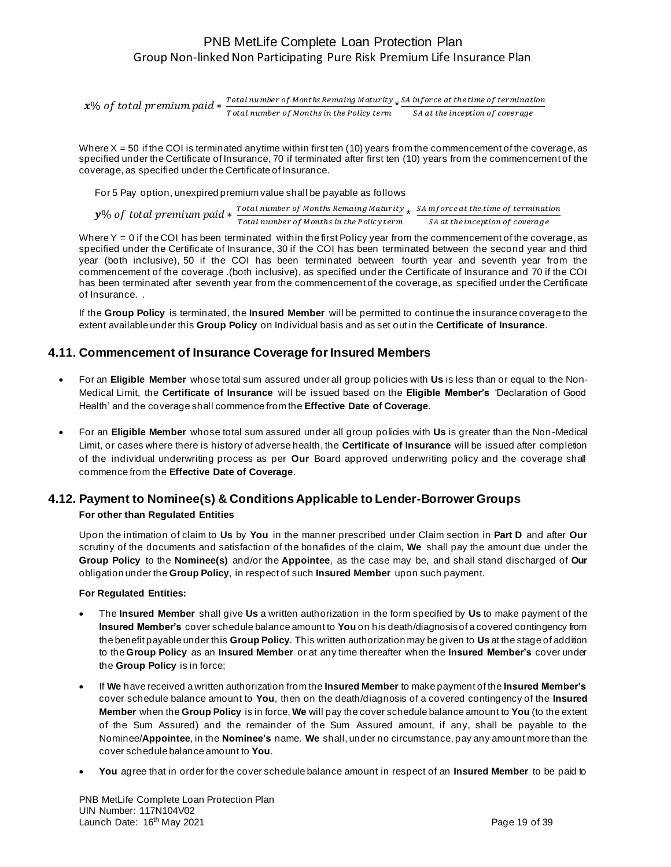$x\%$  of total premium paid  $*$   $\frac{Total\ number\ of\ Monthskip-3.5pt s\ terms$  Maturity Total number of Months Remaing Maturity  $\star$  SA inforce at the time of termination<br>Total number of Months in the Policy term  $\overline{\phantom{0}}$  SA at the inception of coverage

Where  $X = 50$  if the COI is terminated anytime within first ten (10) years from the commencement of the coverage, as specified under the Certificate of Insurance, 70 if terminated after first ten (10) years from the commencement of the coverage, as specified under the Certificate of Insurance.

For 5 Pay option, unexpired premium value shall be payable as follows

 $y\%$  of total premium paid  $*$ Total number of Months Remaing Maturity Total number of Months Remaing Maturity  $\ast$   $\frac{SA}{1}$  inforce at the time of termination<br>Total number of Months in the Policy term  $\frac{SA}{1}$  at the inception of coverage

Where  $Y = 0$  if the COI has been terminated within the first Policy year from the commencement of the coverage, as specified under the Certificate of Insurance, 30 if the COI has been terminated between the second year and third year (both inclusive), 50 if the COI has been terminated between fourth year and seventh year from the commencement of the coverage .(both inclusive), as specified under the Certificate of Insurance and 70 if the COI has been terminated after seventh year from the commencement of the coverage, as specified under the Certificate of Insurance. .

If the **Group Policy** is terminated, the **Insured Member** will be permitted to continue the insurance coverage to the extent available under this **Group Policy** on Individual basis and as set out in the **Certificate of Insurance**.

### **4.11. Commencement of Insurance Coverage for Insured Members**

- For an **Eligible Member** whose total sum assured under all group policies with **Us** is less than or equal to the Non-Medical Limit, the **Certificate of Insurance** will be issued based on the **Eligible Member's** 'Declaration of Good Health' and the coverage shall commence from the **Effective Date of Coverage**.
- For an **Eligible Member** whose total sum assured under all group policies with **Us** is greater than the Non-Medical Limit, or cases where there is history of adverse health, the **Certificate of Insurance** will be issued after completion of the individual underwriting process as per **Our** Board approved underwriting policy and the coverage shall commence from the **Effective Date of Coverage**.

#### **4.12. Payment to Nominee(s) & Conditions Applicable to Lender-Borrower Groups For other than Regulated Entities**

Upon the intimation of claim to **Us** by **You** in the manner prescribed under Claim section in **Part D** and after **Our** scrutiny of the documents and satisfaction of the bonafides of the claim, **We** shall pay the amount due under the **Group Policy** to the **Nominee(s)** and/or the **Appointee**, as the case may be, and shall stand discharged of **Our** obligation under the **Group Policy**, in respect of such **Insured Member** upon such payment.

**For Regulated Entities:**

- The **Insured Member** shall give **Us** a written authorization in the form specified by **Us** to make payment of the **Insured Member's** cover schedule balance amount to **You** on his death/diagnosis of a covered contingency from the benefit payable under this **Group Policy**. This written authorization may be given to **Us** at the stage of addition to the **Group Policy** as an **Insured Member** or at any time thereafter when the **Insured Member's** cover under the **Group Policy** is in force;
- If **We** have received a written authorization from the **Insured Member** to make payment of the **Insured Member's** cover schedule balance amount to **You**, then on the death/diagnosis of a covered contingency of the **Insured Member** when the **Group Policy** is in force, **We** will pay the cover schedule balance amount to **You** (to the extent of the Sum Assured) and the remainder of the Sum Assured amount, if any, shall be payable to the Nominee/**Appointee**, in the **Nominee's** name. **We** shall, under no circumstance, pay any amount more than the cover schedule balance amount to **You**.
- **You** agree that in order for the cover schedule balance amount in respect of an **Insured Member** to be paid to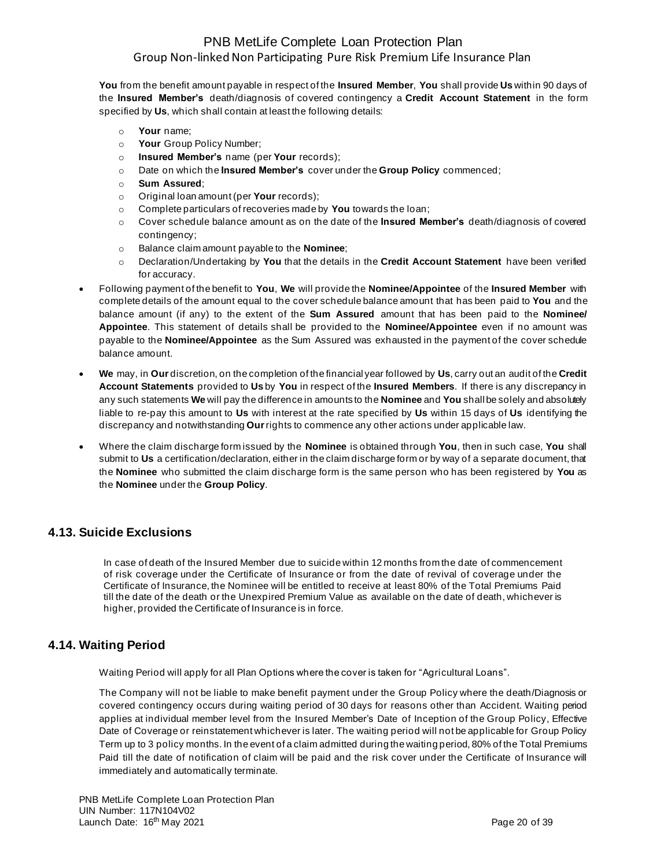**You** from the benefit amount payable in respect of the **Insured Member**, **You** shall provide **Us** within 90 days of the **Insured Member's** death/diagnosis of covered contingency a **Credit Account Statement** in the form specified by **Us**, which shall contain at least the following details:

- o **Your** name;
- o **Your** Group Policy Number;
- o **Insured Member's** name (per **Your** records);
- o Date on which the **Insured Member's** cover under the **Group Policy** commenced;
- o **Sum Assured**;
- o Original loan amount (per **Your** records);
- o Complete particulars of recoveries made by **You** towards the loan;
- o Cover schedule balance amount as on the date of the **Insured Member's** death/diagnosis of covered contingency;
- o Balance claim amount payable to the **Nominee**;
- o Declaration/Undertaking by **You** that the details in the **Credit Account Statement** have been verified for accuracy.
- Following payment of the benefit to **You**, **We** will provide the **Nominee/Appointee** of the **Insured Member** with complete details of the amount equal to the cover schedule balance amount that has been paid to **You** and the balance amount (if any) to the extent of the **Sum Assured** amount that has been paid to the **Nominee/ Appointee**. This statement of details shall be provided to the **Nominee/Appointee** even if no amount was payable to the **Nominee/Appointee** as the Sum Assured was exhausted in the payment of the cover schedule balance amount.
- **We** may, in **Our** discretion, on the completion of the financial year followed by **Us**, carry out an audit of the **Credit Account Statements** provided to **Us** by **You** in respect of the **Insured Members**. If there is any discrepancy in any such statements **We** will pay the difference in amounts to the **Nominee** and **You** shall be solely and absolutely liable to re-pay this amount to **Us** with interest at the rate specified by **Us** within 15 days of **Us** identifying the discrepancy and notwithstanding **Our**rights to commence any other actions under applicable law.
- Where the claim discharge form issued by the **Nominee** is obtained through **You**, then in such case, **You** shall submit to **Us** a certification/declaration, either in the claim discharge form or by way of a separate document, that the **Nominee** who submitted the claim discharge form is the same person who has been registered by **You** as the **Nominee** under the **Group Policy**.

# **4.13. Suicide Exclusions**

In case of death of the Insured Member due to suicide within 12 months from the date of commencement of risk coverage under the Certificate of Insurance or from the date of revival of coverage under the Certificate of Insurance, the Nominee will be entitled to receive at least 80% of the Total Premiums Paid till the date of the death or the Unexpired Premium Value as available on the date of death, whichever is higher, provided the Certificate of Insurance is in force.

## **4.14. Waiting Period**

Waiting Period will apply for all Plan Options where the cover is taken for "Agricultural Loans".

The Company will not be liable to make benefit payment under the Group Policy where the death/Diagnosis or covered contingency occurs during waiting period of 30 days for reasons other than Accident. Waiting period applies at individual member level from the Insured Member's Date of Inception of the Group Policy, Effective Date of Coverage or reinstatement whichever is later. The waiting period will not be applicable for Group Policy Term up to 3 policy months. In the event of a claim admitted during the waiting period, 80% of the Total Premiums Paid till the date of notification of claim will be paid and the risk cover under the Certificate of Insurance will immediately and automatically terminate.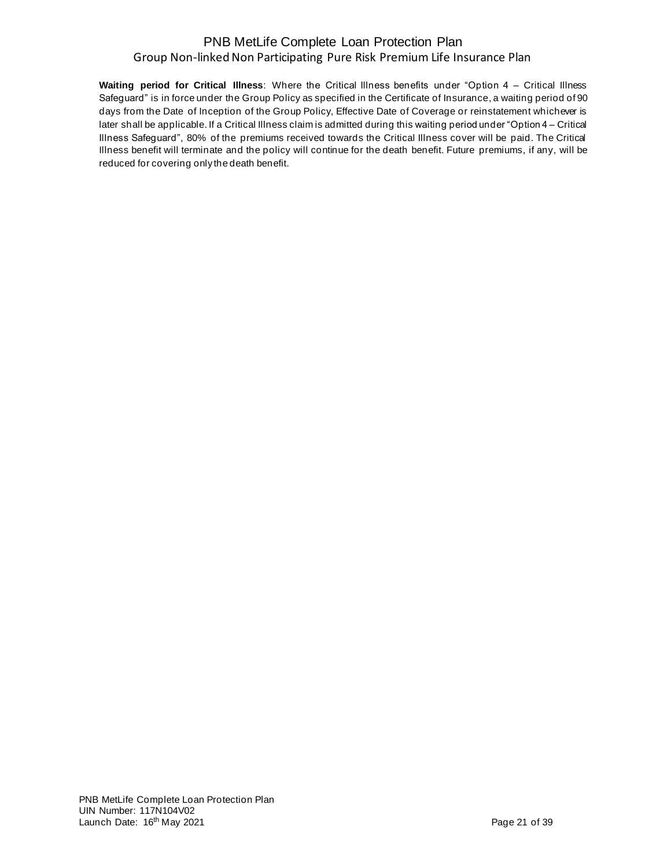**Waiting period for Critical Illness**: Where the Critical Illness benefits under "Option 4 – Critical Illness Safeguard" is in force under the Group Policy as specified in the Certificate of Insurance, a waiting period of 90 days from the Date of Inception of the Group Policy, Effective Date of Coverage or reinstatement whichever is later shall be applicable. If a Critical Illness claim is admitted during this waiting period under "Option 4 – Critical Illness Safeguard", 80% of the premiums received towards the Critical Illness cover will be paid. The Critical Illness benefit will terminate and the policy will continue for the death benefit. Future premiums, if any, will be reduced for covering only the death benefit.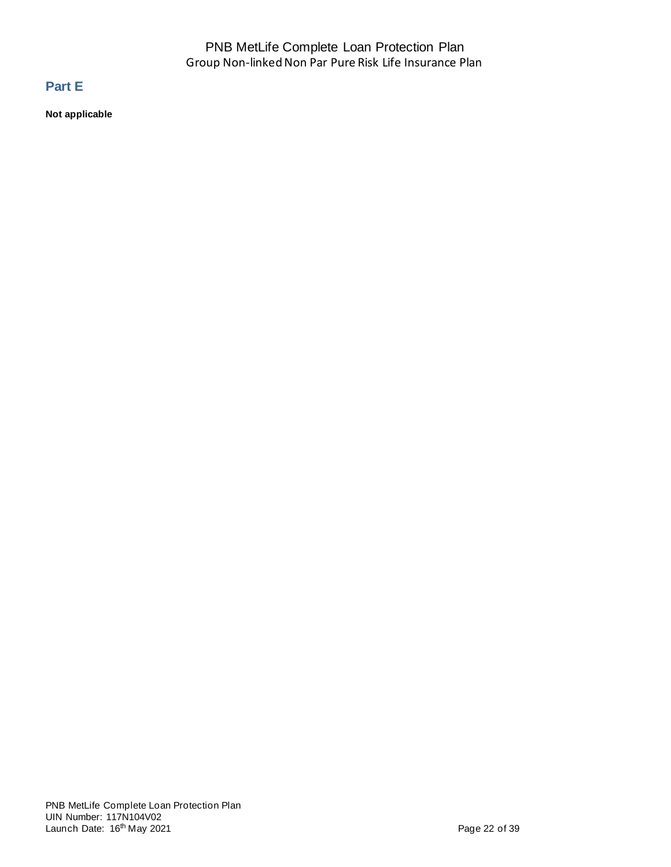# **Part E**

**Not applicable**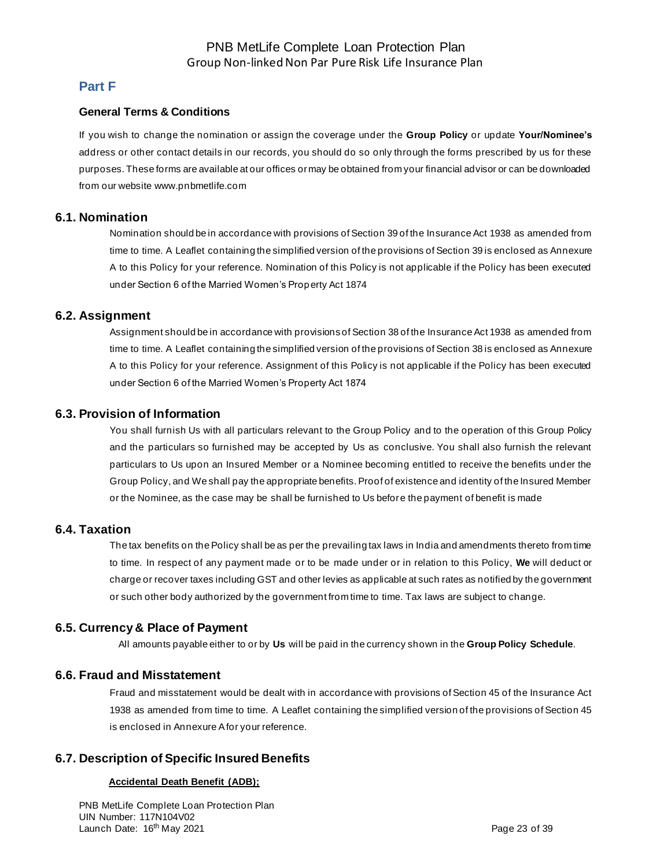### **Part F**

#### **General Terms & Conditions**

If you wish to change the nomination or assign the coverage under the **Group Policy** or update **Your/Nominee's** address or other contact details in our records, you should do so only through the forms prescribed by us for these purposes. These forms are available at our offices or may be obtained from your financial advisor or can be downloaded from our website [www.pnbmetlife.com](http://www.pnbmetlife.com/)

#### **6.1. Nomination**

Nomination should be in accordance with provisions of Section 39 of the Insurance Act 1938 as amended from time to time. A Leaflet containing the simplified version of the provisions of Section 39 is enclosed as Annexure A to this Policy for your reference. Nomination of this Policy is not applicable if the Policy has been executed under Section 6 of the Married Women's Property Act 1874

#### **6.2. Assignment**

Assignment should be in accordance with provisions of Section 38 of the Insurance Act 1938 as amended from time to time. A Leaflet containing the simplified version of the provisions of Section 38 is enclosed as Annexure A to this Policy for your reference. Assignment of this Policy is not applicable if the Policy has been executed under Section 6 of the Married Women's Property Act 1874

#### **6.3. Provision of Information**

You shall furnish Us with all particulars relevant to the Group Policy and to the operation of this Group Policy and the particulars so furnished may be accepted by Us as conclusive. You shall also furnish the relevant particulars to Us upon an Insured Member or a Nominee becoming entitled to receive the benefits under the Group Policy, and We shall pay the appropriate benefits. Proof of existence and identity of the Insured Member or the Nominee, as the case may be shall be furnished to Us before the payment of benefit is made

#### **6.4. Taxation**

The tax benefits on the Policy shall be as per the prevailing tax laws in India and amendments thereto from time to time. In respect of any payment made or to be made under or in relation to this Policy, **We** will deduct or charge or recover taxes including GST and other levies as applicable at such rates as notified by the government or such other body authorized by the government from time to time. Tax laws are subject to change.

### **6.5. Currency & Place of Payment**

All amounts payable either to or by **Us** will be paid in the currency shown in the **Group Policy Schedule**.

### **6.6. Fraud and Misstatement**

Fraud and misstatement would be dealt with in accordance with provisions of Section 45 of the Insurance Act 1938 as amended from time to time. A Leaflet containing the simplified version of the provisions of Section 45 is enclosed in Annexure A for your reference.

### **6.7. Description of Specific Insured Benefits**

#### **Accidental Death Benefit (ADB);**

PNB MetLife Complete Loan Protection Plan UIN Number: 117N104V02 Launch Date: 16<sup>th</sup> May 2021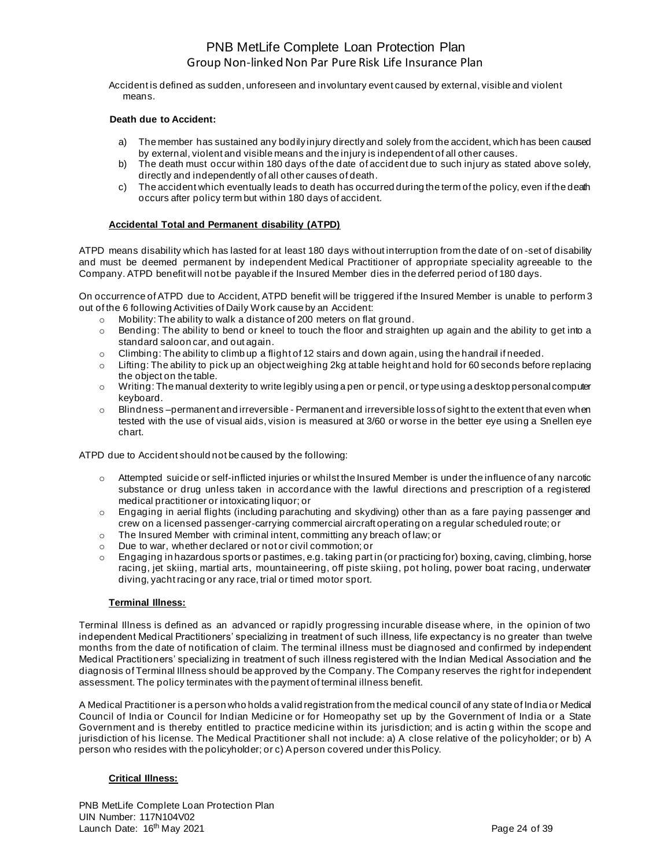Accident is defined as sudden, unforeseen and involuntary event caused by external, visible and violent means.

#### **Death due to Accident:**

- a) The member has sustained any bodily injury directly and solely from the accident, which has been caused by external, violent and visible means and the injury is independent of all other causes.
- b) The death must occur within 180 days of the date of accident due to such injury as stated above solely, directly and independently of all other causes of death.
- c) The accident which eventually leads to death has occurred during the term of the policy, even if the death occurs after policy term but within 180 days of accident.

#### **Accidental Total and Permanent disability (ATPD)**

ATPD means disability which has lasted for at least 180 days without interruption from the date of on -set of disability and must be deemed permanent by independent Medical Practitioner of appropriate speciality agreeable to the Company. ATPD benefit will not be payable if the Insured Member dies in the deferred period of 180 days.

On occurrence of ATPD due to Accident, ATPD benefit will be triggered if the Insured Member is unable to perform 3 out of the 6 following Activities of Daily Work cause by an Accident:

- o Mobility: The ability to walk a distance of 200 meters on flat ground.
- o Bending: The ability to bend or kneel to touch the floor and straighten up again and the ability to get into a standard saloon car, and out again.
- o Climbing: The ability to climb up a flight of 12 stairs and down again, using the handrail if needed.
- $\circ$  Lifting: The ability to pick up an object weighing 2kg at table height and hold for 60 seconds before replacing the object on the table.
- $\circ$  Writing: The manual dexterity to write legibly using a pen or pencil, or type using a desktop personal computer keyboard.
- $\circ$  Blindness –permanent and irreversible Permanent and irreversible loss of sight to the extent that even when tested with the use of visual aids, vision is measured at 3/60 or worse in the better eye using a Snellen eye chart.

ATPD due to Accident should not be caused by the following:

- $\circ$  Attempted suicide or self-inflicted injuries or whilst the Insured Member is under the influence of any narcotic substance or drug unless taken in accordance with the lawful directions and prescription of a registered medical practitioner or intoxicating liquor; or
- o Engaging in aerial flights (including parachuting and skydiving) other than as a fare paying passenger and crew on a licensed passenger-carrying commercial aircraft operating on a regular scheduled route; or
- o The Insured Member with criminal intent, committing any breach of law; or
- o Due to war, whether declared or not or civil commotion; or
- $\circ$  Engaging in hazardous sports or pastimes, e.g. taking part in (or practicing for) boxing, caving, climbing, horse racing, jet skiing, martial arts, mountaineering, off piste skiing, pot holing, power boat racing, underwater diving, yacht racing or any race, trial or timed motor sport.

#### **Terminal Illness:**

Terminal Illness is defined as an advanced or rapidly progressing incurable disease where, in the opinion of two independent Medical Practitioners' specializing in treatment of such illness, life expectancy is no greater than twelve months from the date of notification of claim. The terminal illness must be diagnosed and confirmed by independent Medical Practitioners' specializing in treatment of such illness registered with the Indian Medical Association and the diagnosis of Terminal Illness should be approved by the Company. The Company reserves the right for independent assessment. The policy terminates with the payment of terminal illness benefit.

A Medical Practitioner is a person who holds a valid registration from the medical council of any state of India or Medical Council of India or Council for Indian Medicine or for Homeopathy set up by the Government of India or a State Government and is thereby entitled to practice medicine within its jurisdiction; and is actin g within the scope and jurisdiction of his license. The Medical Practitioner shall not include: a) A close relative of the policyholder; or b) A person who resides with the policyholder; or c) A person covered under this Policy.

#### **Critical Illness:**

PNB MetLife Complete Loan Protection Plan UIN Number: 117N104V02 Launch Date: 16<sup>th</sup> May 2021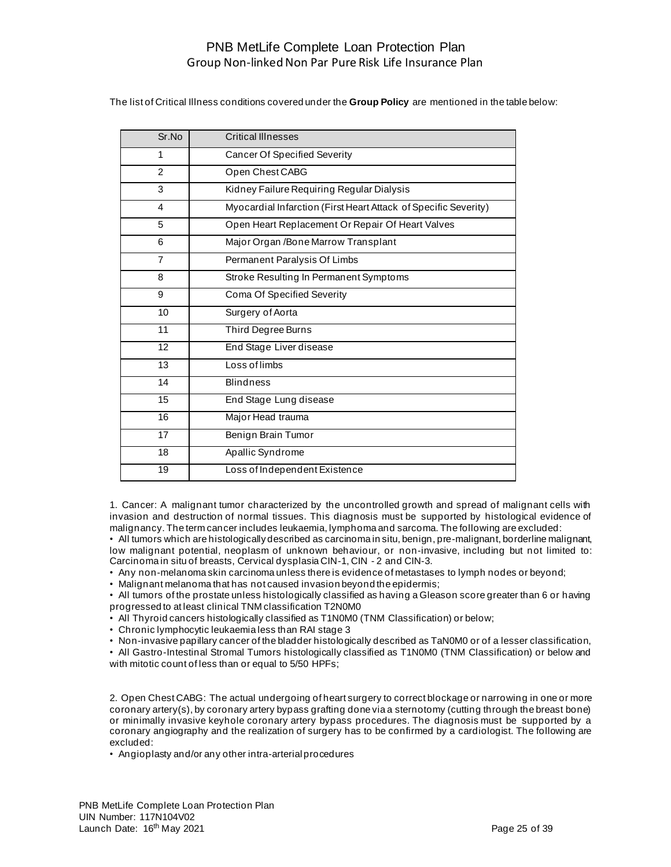The list of Critical Illness conditions covered under the **Group Policy** are mentioned in the table below:

| Sr.No          | <b>Critical Illnesses</b>                                       |
|----------------|-----------------------------------------------------------------|
| 1              | <b>Cancer Of Specified Severity</b>                             |
| $\mathcal{P}$  | Open Chest CABG                                                 |
| 3              | Kidney Failure Requiring Regular Dialysis                       |
| 4              | Myocardial Infarction (First Heart Attack of Specific Severity) |
| 5              | Open Heart Replacement Or Repair Of Heart Valves                |
| 6              | Major Organ / Bone Marrow Transplant                            |
| $\overline{7}$ | Permanent Paralysis Of Limbs                                    |
| 8              | Stroke Resulting In Permanent Symptoms                          |
| 9              | Coma Of Specified Severity                                      |
| 10             | Surgery of Aorta                                                |
| 11             | Third Degree Burns                                              |
| 12             | End Stage Liver disease                                         |
| 13             | Loss of limbs                                                   |
| 14             | <b>Blindness</b>                                                |
| 15             | End Stage Lung disease                                          |
| 16             | Major Head trauma                                               |
| 17             | Benign Brain Tumor                                              |
| 18             | Apallic Syndrome                                                |
| 19             | Loss of Independent Existence                                   |

1. Cancer: A malignant tumor characterized by the uncontrolled growth and spread of malignant cells with invasion and destruction of normal tissues. This diagnosis must be supported by histological evidence of malignancy. The term cancer includes leukaemia, lymphoma and sarcoma. The following are excluded:

• All tumors which are histologically described as carcinoma in situ, benign, pre-malignant, borderline malignant, low malignant potential, neoplasm of unknown behaviour, or non-invasive, including but not limited to: Carcinoma in situ of breasts, Cervical dysplasia CIN-1, CIN - 2 and CIN-3.

• Any non-melanoma skin carcinoma unless there is evidence of metastases to lymph nodes or beyond;

• Malignant melanoma that has not caused invasion beyond the epidermis;

• All tumors of the prostate unless histologically classified as having a Gleason score greater than 6 or having progressed to at least clinical TNM classification T2N0M0

• All Thyroid cancers histologically classified as T1N0M0 (TNM Classification) or below;

• Chronic lymphocytic leukaemia less than RAI stage 3

• Non-invasive papillary cancer of the bladder histologically described as TaN0M0 or of a lesser classification,

• All Gastro-Intestinal Stromal Tumors histologically classified as T1N0M0 (TNM Classification) or below and with mitotic count of less than or equal to 5/50 HPFs;

2. Open Chest CABG: The actual undergoing of heart surgery to correct blockage or narrowing in one or more coronary artery(s), by coronary artery bypass grafting done via a sternotomy (cutting through the breast bone) or minimally invasive keyhole coronary artery bypass procedures. The diagnosis must be supported by a coronary angiography and the realization of surgery has to be confirmed by a cardiologist. The following are excluded:

• Angioplasty and/or any other intra-arterial procedures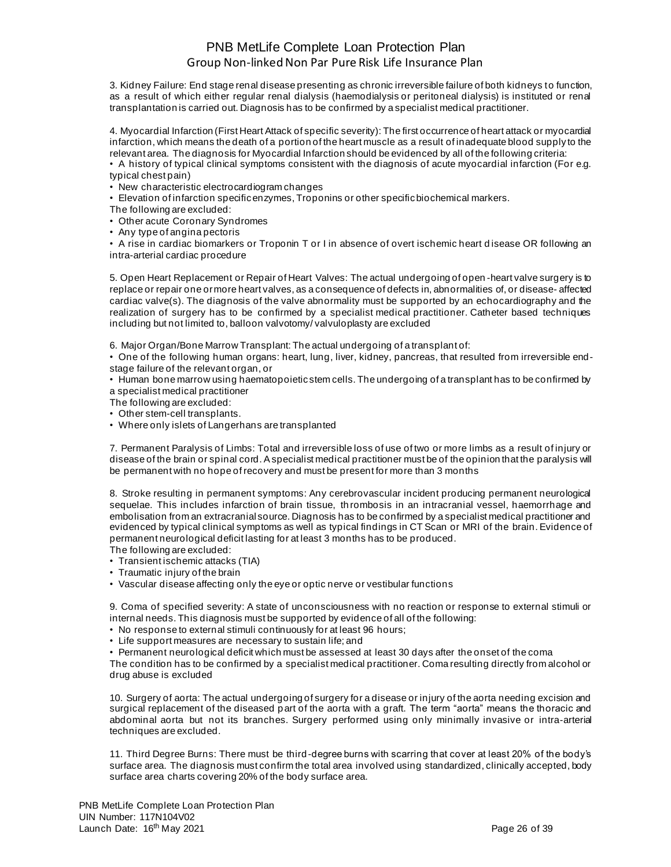3. Kidney Failure: End stage renal disease presenting as chronic irreversible failure of both kidneys to function, as a result of which either regular renal dialysis (haemodialysis or peritoneal dialysis) is instituted or renal transplantation is carried out. Diagnosis has to be confirmed by a specialist medical practitioner.

4. Myocardial Infarction (First Heart Attack of specific severity): The first occurrence of heart attack or myocardial infarction, which means the death of a portion of the heart muscle as a result of inadequate blood supply to the relevant area. The diagnosis for Myocardial Infarction should be evidenced by all of the following criteria:

• A history of typical clinical symptoms consistent with the diagnosis of acute myocardial infarction (For e.g. typical chest pain)

• New characteristic electrocardiogram changes

• Elevation of infarction specific enzymes, Troponins or other specific biochemical markers.

The following are excluded:

• Other acute Coronary Syndromes

• Any type of angina pectoris

• A rise in cardiac biomarkers or Troponin T or I in absence of overt ischemic heart d isease OR following an intra-arterial cardiac procedure

5. Open Heart Replacement or Repair of Heart Valves: The actual undergoing of open -heart valve surgery is to replace or repair one or more heart valves, as a consequence of defects in, abnormalities of, or disease- affected cardiac valve(s). The diagnosis of the valve abnormality must be supported by an echocardiography and the realization of surgery has to be confirmed by a specialist medical practitioner. Catheter based techniques including but not limited to, balloon valvotomy/ valvuloplasty are excluded

6. Major Organ/Bone Marrow Transplant: The actual undergoing of a transplant of:

• One of the following human organs: heart, lung, liver, kidney, pancreas, that resulted from irreversible endstage failure of the relevant organ, or

• Human bone marrow using haematopoietic stem cells. The undergoing of a transplant has to be confirmed by a specialist medical practitioner

The following are excluded:

• Other stem-cell transplants.

• Where only islets of Langerhans are transplanted

7. Permanent Paralysis of Limbs: Total and irreversible loss of use of two or more limbs as a result of injury or disease of the brain or spinal cord. A specialist medical practitioner must be of the opinion that the paralysis will be permanent with no hope of recovery and must be present for more than 3 months

8. Stroke resulting in permanent symptoms: Any cerebrovascular incident producing permanent neurological sequelae. This includes infarction of brain tissue, th rombosis in an intracranial vessel, haemorrhage and embolisation from an extracranial source. Diagnosis has to be confirmed by a specialist medical practitioner and evidenced by typical clinical symptoms as well as typical findings in CT Scan or MRI of the brain. Evidence of permanent neurological deficit lasting for at least 3 months has to be produced. The following are excluded:

- Transient ischemic attacks (TIA)
- Traumatic injury of the brain
- Vascular disease affecting only the eye or optic nerve or vestibular functions

9. Coma of specified severity: A state of unconsciousness with no reaction or response to external stimuli or internal needs. This diagnosis must be supported by evidence of all of the following:

- No response to external stimuli continuously for at least 96 hours;
- Life support measures are necessary to sustain life; and
- Permanent neurological deficit which must be assessed at least 30 days after the onset of the coma

The condition has to be confirmed by a specialist medical practitioner. Coma resulting directly from alcohol or drug abuse is excluded

10. Surgery of aorta: The actual undergoing of surgery for a disease or injury of the aorta needing excision and surgical replacement of the diseased part of the aorta with a graft. The term "aorta" means the thoracic and abdominal aorta but not its branches. Surgery performed using only minimally invasive or intra-arterial techniques are excluded.

11. Third Degree Burns: There must be third-degree burns with scarring that cover at least 20% of the body's surface area. The diagnosis must confirm the total area involved using standardized, clinically accepted, body surface area charts covering 20% of the body surface area.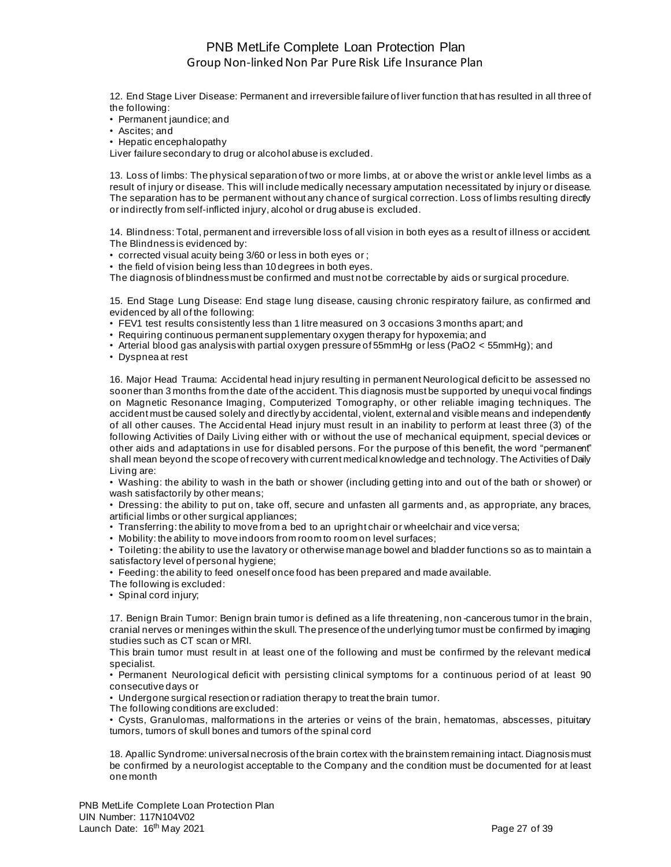12. End Stage Liver Disease: Permanent and irreversible failure of liver function that has resulted in all three of the following:

• Permanent jaundice; and

• Ascites; and

• Hepatic encephalopathy

Liver failure secondary to drug or alcohol abuse is excluded.

13. Loss of limbs: The physical separation of two or more limbs, at or above the wrist or ankle level limbs as a result of injury or disease. This will include medically necessary amputation necessitated by injury or disease. The separation has to be permanent without any chance of surgical correction. Loss of limbs resulting directly or indirectly from self-inflicted injury, alcohol or drug abuse is excluded.

14. Blindness: Total, permanent and irreversible loss of all vision in both eyes as a result of illness or accident. The Blindness is evidenced by:

• corrected visual acuity being 3/60 or less in both eyes or ;

• the field of vision being less than 10 degrees in both eyes.

The diagnosis of blindness must be confirmed and must not be correctable by aids or surgical procedure.

15. End Stage Lung Disease: End stage lung disease, causing chronic respiratory failure, as confirmed and evidenced by all of the following:

- FEV1 test results consistently less than 1 litre measured on 3 occasions 3 months apart; and
- Requiring continuous permanent supplementary oxygen therapy for hypoxemia; and
- Arterial blood gas analysis with partial oxygen pressure of 55mmHg or less (PaO2 < 55mmHg); and
- Dyspnea at rest

16. Major Head Trauma: Accidental head injury resulting in permanent Neurological deficit to be assessed no sooner than 3 months from the date of the accident. This diagnosis must be supported by unequi vocal findings on Magnetic Resonance Imaging, Computerized Tomography, or other reliable imaging techniques. The accident must be caused solely and directly by accidental, violent, external and visible means and independently of all other causes. The Accidental Head injury must result in an inability to perform at least three (3) of the following Activities of Daily Living either with or without the use of mechanical equipment, special devices or other aids and adaptations in use for disabled persons. For the purpose of this benefit, the word "permanent" shall mean beyond the scope of recovery with current medical knowledge and technology. The Activities of Daily Living are:

• Washing: the ability to wash in the bath or shower (including getting into and out of the bath or shower) or wash satisfactorily by other means;

• Dressing: the ability to put on, take off, secure and unfasten all garments and, as appropriate, any braces, artificial limbs or other surgical appliances;

• Transferring: the ability to move from a bed to an upright chair or wheelchair and vice versa;

• Mobility: the ability to move indoors from room to room on level surfaces;

• Toileting: the ability to use the lavatory or otherwise manage bowel and bladder functions so as to maintain a satisfactory level of personal hygiene;

• Feeding: the ability to feed oneself once food has been prepared and made available.

- The following is excluded:
- Spinal cord injury;

17. Benign Brain Tumor: Benign brain tumor is defined as a life threatening, non -cancerous tumor in the brain, cranial nerves or meninges within the skull. The presence of the underlying tumor must be confirmed by imaging studies such as CT scan or MRI.

This brain tumor must result in at least one of the following and must be confirmed by the relevant medical specialist.

• Permanent Neurological deficit with persisting clinical symptoms for a continuous period of at least 90 consecutive days or

• Undergone surgical resection or radiation therapy to treat the brain tumor.

The following conditions are excluded:

• Cysts, Granulomas, malformations in the arteries or veins of the brain, hematomas, abscesses, pituitary tumors, tumors of skull bones and tumors of the spinal cord

18. Apallic Syndrome: universal necrosis of the brain cortex with the brainstem remaining intact. Diagnosis must be confirmed by a neurologist acceptable to the Company and the condition must be documented for at least one month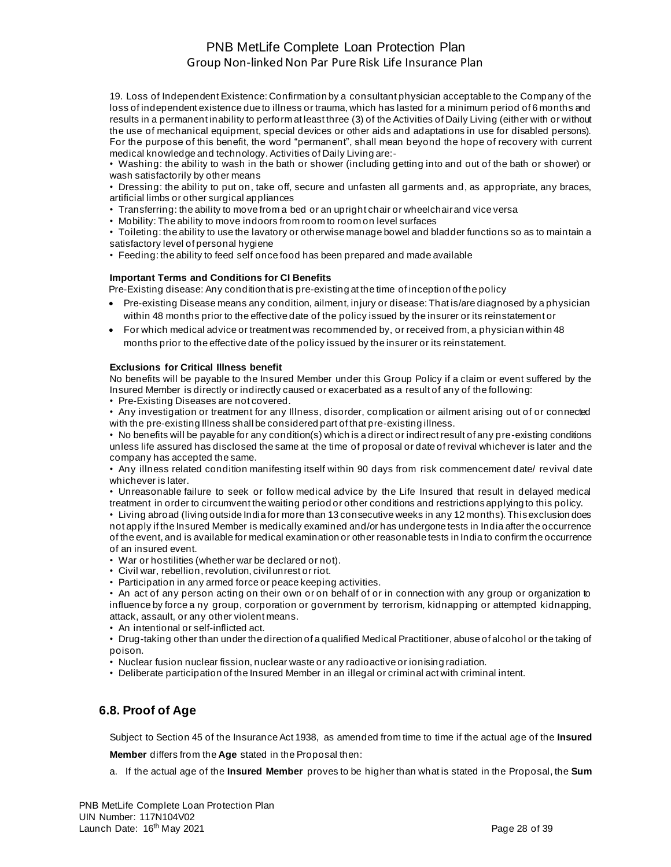19. Loss of Independent Existence: Confirmation by a consultant physician acceptable to the Company of the loss of independent existence due to illness or trauma, which has lasted for a minimum period of 6 months and results in a permanent inability to perform at least three (3) of the Activities of Daily Living (either with or without the use of mechanical equipment, special devices or other aids and adaptations in use for disabled persons). For the purpose of this benefit, the word "permanent", shall mean beyond the hope of recovery with current medical knowledge and technology. Activities of Daily Living are:-

• Washing: the ability to wash in the bath or shower (including getting into and out of the bath or shower) or wash satisfactorily by other means

• Dressing: the ability to put on, take off, secure and unfasten all garments and, as appropriate, any braces, artificial limbs or other surgical appliances

- Transferring: the ability to move from a bed or an upright chair or wheelchair and vice versa
- Mobility: The ability to move indoors from room to room on level surfaces

• Toileting: the ability to use the lavatory or otherwise manage bowel and bladder functions so as to maintain a satisfactory level of personal hygiene

• Feeding: the ability to feed self once food has been prepared and made available

#### **Important Terms and Conditions for CI Benefits**

Pre-Existing disease: Any condition that is pre-existing at the time of inception of the policy

- Pre-existing Disease means any condition, ailment, injury or disease: That is/are diagnosed by a physician within 48 months prior to the effective date of the policy issued by the insurer or its reinstatement or
- For which medical advice or treatment was recommended by, or received from, a physician within 48 months prior to the effective date of the policy issued by the insurer or its reinstatement.

#### **Exclusions for Critical Illness benefit**

No benefits will be payable to the Insured Member under this Group Policy if a claim or event suffered by the Insured Member is directly or indirectly caused or exacerbated as a result of any of the following:

• Pre-Existing Diseases are not covered.

• Any investigation or treatment for any Illness, disorder, complication or ailment arising out of or connected with the pre-existing Illness shall be considered part of that pre-existing illness.

• No benefits will be payable for any condition(s) which is a direct or indirect result of any pre-existing conditions unless life assured has disclosed the same at the time of proposal or date of revival whichever is later and the company has accepted the same.

• Any illness related condition manifesting itself within 90 days from risk commencement date/ revival date whichever is later.

• Unreasonable failure to seek or follow medical advice by the Life Insured that result in delayed medical treatment in order to circumvent the waiting period or other conditions and restrictions applying to this policy.

• Living abroad (living outside India for more than 13 consecutive weeks in any 12 months). This exclusion does not apply if the Insured Member is medically examined and/or has undergone tests in India after the occurrence of the event, and is available for medical examination or other reasonable tests in India to confirm the occurrence of an insured event.

- War or hostilities (whether war be declared or not).
- Civil war, rebellion, revolution, civil unrest or riot.
- Participation in any armed force or peace keeping activities.

• An act of any person acting on their own or on behalf of or in connection with any group or organization to influence by force a ny group, corporation or government by terrorism, kidnapping or attempted kidnapping, attack, assault, or any other violent means.

• An intentional or self-inflicted act.

• Drug-taking other than under the direction of a qualified Medical Practitioner, abuse of alcohol or the taking of poison.

- Nuclear fusion nuclear fission, nuclear waste or any radioactive or ionising radiation.
- Deliberate participation of the Insured Member in an illegal or criminal act with criminal intent.

### **6.8. Proof of Age**

Subject to Section 45 of the Insurance Act 1938, as amended from time to time if the actual age of the **Insured** 

**Member** differs from the **Age** stated in the Proposal then:

a. If the actual age of the **Insured Member** proves to be higher than what is stated in the Proposal, the **Sum**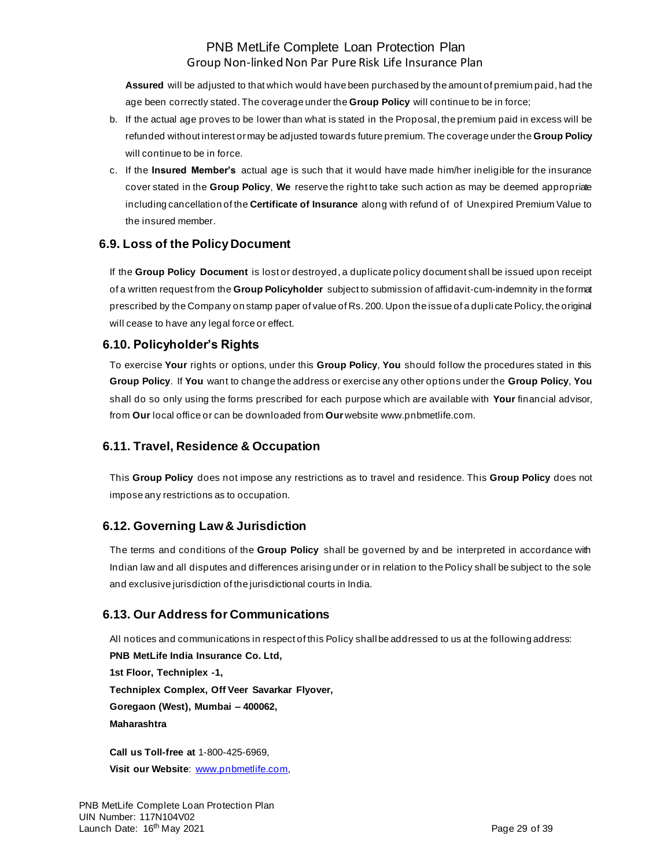**Assured** will be adjusted to that which would have been purchased by the amount of premium paid, had the age been correctly stated. The coverage under the **Group Policy** will continue to be in force;

- b. If the actual age proves to be lower than what is stated in the Proposal, the premium paid in excess will be refunded without interest or may be adjusted towards future premium. The coverage under the **Group Policy** will continue to be in force.
- c. If the **Insured Member's** actual age is such that it would have made him/her ineligible for the insurance cover stated in the **Group Policy**, **We** reserve the right to take such action as may be deemed appropriate including cancellation of the **Certificate of Insurance** along with refund of of Unexpired Premium Value to the insured member.

## **6.9. Loss of the Policy Document**

If the **Group Policy Document** is lost or destroyed, a duplicate policy document shall be issued upon receipt of a written request from the **Group Policyholder** subject to submission of affidavit-cum-indemnity in the format prescribed by the Company on stamp paper of value of Rs. 200. Upon the issue of a dupli cate Policy, the original will cease to have any legal force or effect.

### **6.10. Policyholder's Rights**

To exercise **Your** rights or options, under this **Group Policy**, **You** should follow the procedures stated in this **Group Policy**. If **You** want to change the address or exercise any other options under the **Group Policy**, **You** shall do so only using the forms prescribed for each purpose which are available with **Your** financial advisor, from **Our** local office or can be downloaded from **Our** websit[e www.pnbmetlife.com.](http://www.pnbmetlife.com/)

## **6.11. Travel, Residence & Occupation**

This **Group Policy** does not impose any restrictions as to travel and residence. This **Group Policy** does not impose any restrictions as to occupation.

## **6.12. Governing Law & Jurisdiction**

The terms and conditions of the **Group Policy** shall be governed by and be interpreted in accordance with Indian law and all disputes and differences arising under or in relation to the Policy shall be subject to the sole and exclusive jurisdiction of the jurisdictional courts in India.

## **6.13. Our Address for Communications**

All notices and communications in respect of this Policy shall be addressed to us at the following address: **PNB MetLife India Insurance Co. Ltd, 1st Floor, Techniplex -1, Techniplex Complex, Off Veer Savarkar Flyover, Goregaon (West), Mumbai – 400062, Maharashtra**

**Call us Toll-free at** 1-800-425-6969, **Visit our Website**: [www.pnbmetlife.com,](http://www.pnbmetlife.com/)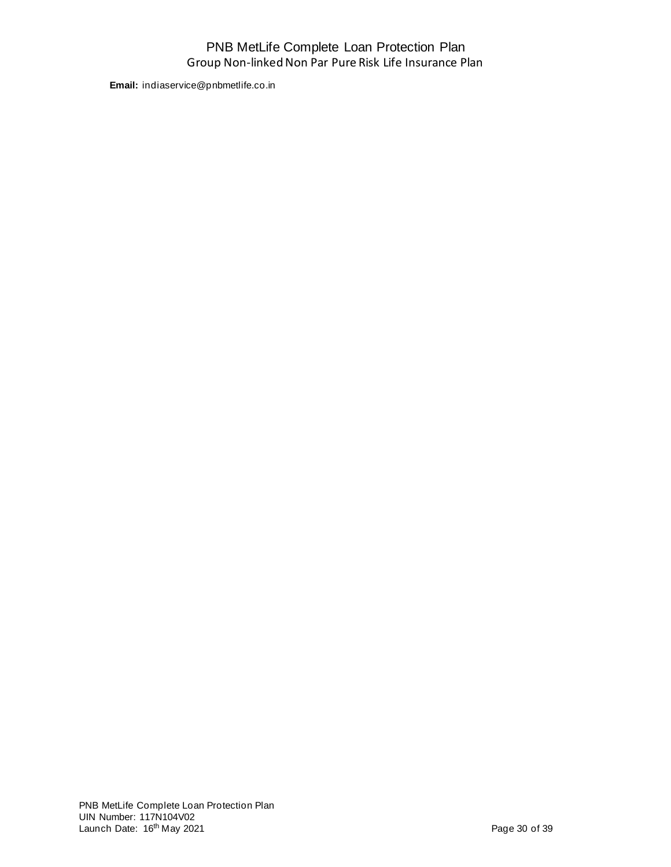**Email:** indiaservice@pnbmetlife.co.in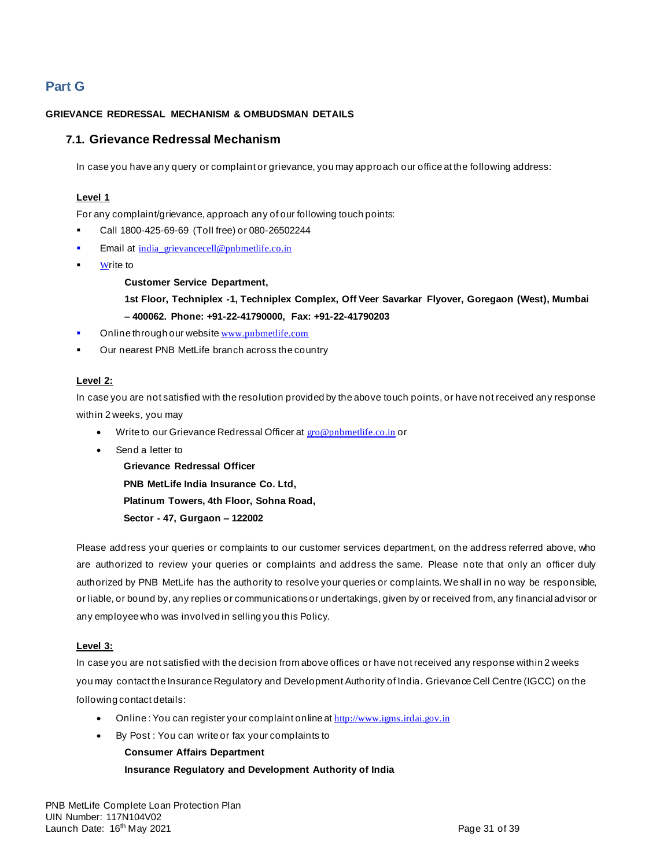# **Part G**

#### **GRIEVANCE REDRESSAL MECHANISM & OMBUDSMAN DETAILS**

### **7.1. Grievance Redressal Mechanism**

In case you have any query or complaint or grievance, you may approach our office at the following address:

#### **Level 1**

For any complaint/grievance, approach any of our following touch points:

- Call 1800-425-69-69 (Toll free) or 080-26502244
- Email at [india\\_grievancecell@pnbmetlife.co.in](mailto:india_grievancecell@pnbmetlife.co.in)
- Write to

#### **Customer Service Department,**

**1st Floor, Techniplex -1, Techniplex Complex, Off Veer Savarkar Flyover, Goregaon (West), Mumbai – 400062. Phone: +91-22-41790000, Fax: +91-22-41790203**

- Online through our website [www.pnbmetlife.com](http://www.pnbmetlife.com/)
- Our nearest PNB MetLife branch across the country

#### **Level 2:**

In case you are not satisfied with the resolution provided by the above touch points, or have not received any response within 2 weeks, you may

- Write to our Grievance Redressal Officer at [gro@pnbmetlife.co.in](mailto:gro@pnbmetlife.co.in) or
- Send a letter to

**Grievance Redressal Officer PNB MetLife India Insurance Co. Ltd, Platinum Towers, 4th Floor, Sohna Road, Sector - 47, Gurgaon – 122002**

Please address your queries or complaints to our customer services department, on the address referred above, who are authorized to review your queries or complaints and address the same. Please note that only an officer duly authorized by PNB MetLife has the authority to resolve your queries or complaints. We shall in no way be responsible, or liable, or bound by, any replies or communications or undertakings, given by or received from, any financial advisor or any employee who was involved in selling you this Policy.

#### **Level 3:**

In case you are not satisfied with the decision from above offices or have not received any response within 2 weeks you may contact the Insurance Regulatory and Development Authority of India. Grievance Cell Centre (IGCC) on the following contact details:

- Online: You can register your complaint online at [http://www.igms.irdai.gov.in](http://www.igms.irdai.gov.in/)
- By Post : You can write or fax your complaints to

**Consumer Affairs Department**

**Insurance Regulatory and Development Authority of India**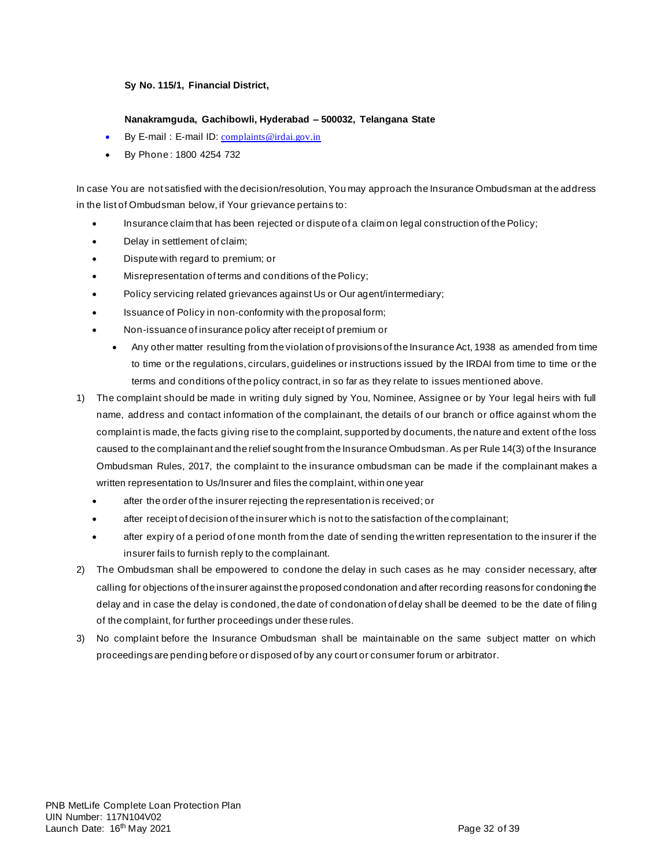#### **Sy No. 115/1, Financial District,**

#### **Nanakramguda, Gachibowli, Hyderabad – 500032, Telangana State**

- By E-mail: E-mail ID: [complaints@irdai.gov.in](mailto:complaints@irdai.gov.in)
- By Phone : 1800 4254 732

In case You are not satisfied with the decision/resolution, You may approach the Insurance Ombudsman at the address in the list of Ombudsman below, if Your grievance pertains to:

- Insurance claim that has been rejected or dispute of a claim on legal construction of the Policy;
- Delay in settlement of claim;
- Dispute with regard to premium; or
- Misrepresentation of terms and conditions of the Policy;
- Policy servicing related grievances against Us or Our agent/intermediary;
- Issuance of Policy in non-conformity with the proposal form;
- Non-issuance of insurance policy after receipt of premium or
	- Any other matter resulting from the violation of provisions of the Insurance Act, 1938 as amended from time to time or the regulations, circulars, guidelines or instructions issued by the IRDAI from time to time or the terms and conditions of the policy contract, in so far as they relate to issues mentioned above.
- 1) The complaint should be made in writing duly signed by You, Nominee, Assignee or by Your legal heirs with full name, address and contact information of the complainant, the details of our branch or office against whom the complaint is made, the facts giving rise to the complaint, supported by documents, the nature and extent of the loss caused to the complainant and the relief sought from the Insurance Ombudsman. As per Rule 14(3) of the Insurance Ombudsman Rules, 2017, the complaint to the insurance ombudsman can be made if the complainant makes a written representation to Us/Insurer and files the complaint, within one year
	- after the order of the insurer rejecting the representation is received; or
	- after receipt of decision of the insurer which is not to the satisfaction of the complainant;
	- after expiry of a period of one month from the date of sending the written representation to the insurer if the insurer fails to furnish reply to the complainant.
- 2) The Ombudsman shall be empowered to condone the delay in such cases as he may consider necessary, after calling for objections of the insurer against the proposed condonation and after recording reasons for condoning the delay and in case the delay is condoned, the date of condonation of delay shall be deemed to be the date of filing of the complaint, for further proceedings under these rules.
- 3) No complaint before the Insurance Ombudsman shall be maintainable on the same subject matter on which proceedings are pending before or disposed of by any court or consumer forum or arbitrator.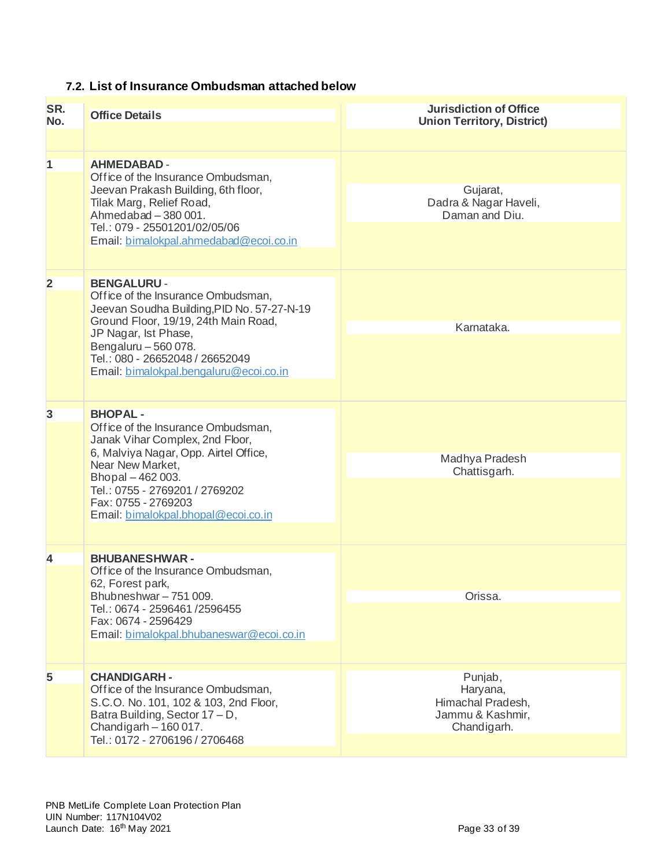# **7.2. List of Insurance Ombudsman attached below**

| SR.<br>No.     | <b>Office Details</b>                                                                                                                                                                                                                                                       | <b>Jurisdiction of Office</b><br><b>Union Territory, District)</b>          |
|----------------|-----------------------------------------------------------------------------------------------------------------------------------------------------------------------------------------------------------------------------------------------------------------------------|-----------------------------------------------------------------------------|
| 1              | <b>AHMEDABAD -</b><br>Office of the Insurance Ombudsman,<br>Jeevan Prakash Building, 6th floor,<br>Tilak Marg, Relief Road,<br>Ahmedabad - 380 001.<br>Tel.: 079 - 25501201/02/05/06<br>Email: bimalokpal.ahmedabad@ecoi.co.in                                              | Gujarat,<br>Dadra & Nagar Haveli,<br>Daman and Diu.                         |
| $\overline{2}$ | <b>BENGALURU -</b><br>Office of the Insurance Ombudsman,<br>Jeevan Soudha Building, PID No. 57-27-N-19<br>Ground Floor, 19/19, 24th Main Road,<br>JP Nagar, Ist Phase,<br>Bengaluru - 560 078.<br>Tel.: 080 - 26652048 / 26652049<br>Email: bimalokpal.bengaluru@ecoi.co.in | Karnataka.                                                                  |
| $\overline{3}$ | <b>BHOPAL-</b><br>Office of the Insurance Ombudsman,<br>Janak Vihar Complex, 2nd Floor,<br>6, Malviya Nagar, Opp. Airtel Office,<br>Near New Market,<br>Bhopal - 462 003.<br>Tel.: 0755 - 2769201 / 2769202<br>Fax: 0755 - 2769203<br>Email: bimalokpal.bhopal@ecoi.co.in   | Madhya Pradesh<br>Chattisgarh.                                              |
| 4              | <b>BHUBANESHWAR-</b><br>Office of the Insurance Ombudsman,<br>62, Forest park,<br>Bhubneshwar - 751 009.<br>Tel.: 0674 - 2596461 / 2596455<br>Fax: 0674 - 2596429<br>Email: bimalokpal.bhubaneswar@ecoi.co.in                                                               | Orissa.                                                                     |
| 5              | <b>CHANDIGARH-</b><br>Office of the Insurance Ombudsman,<br>S.C.O. No. 101, 102 & 103, 2nd Floor,<br>Batra Building, Sector 17 - D,<br>Chandigarh - 160 017.<br>Tel.: 0172 - 2706196 / 2706468                                                                              | Punjab,<br>Haryana,<br>Himachal Pradesh,<br>Jammu & Kashmir,<br>Chandigarh. |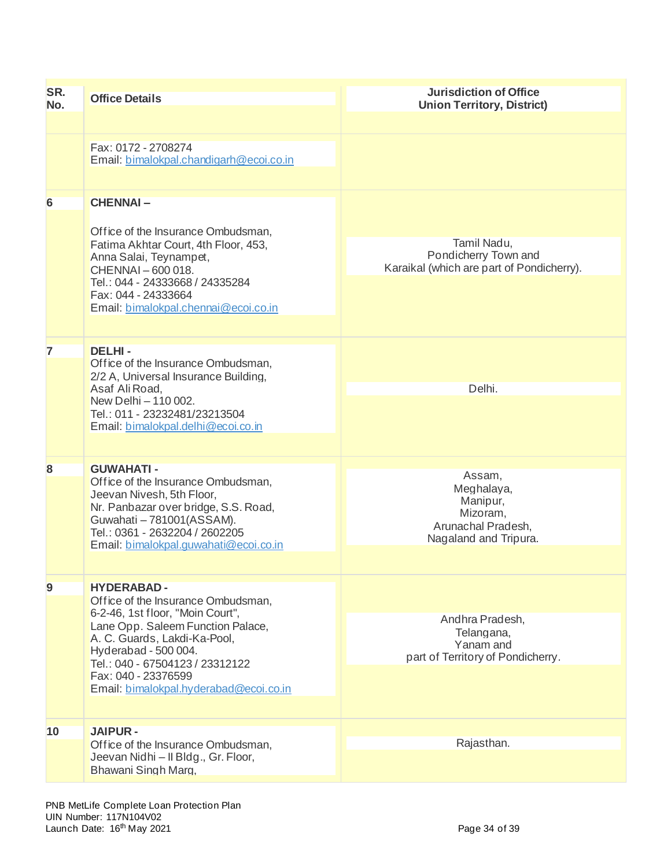| SR.<br>No.                                                                                                                                                                                                                        | <b>Office Details</b>                                                                                                                                                                                                     | <b>Jurisdiction of Office</b><br><b>Union Territory, District)</b>                          |
|-----------------------------------------------------------------------------------------------------------------------------------------------------------------------------------------------------------------------------------|---------------------------------------------------------------------------------------------------------------------------------------------------------------------------------------------------------------------------|---------------------------------------------------------------------------------------------|
|                                                                                                                                                                                                                                   |                                                                                                                                                                                                                           |                                                                                             |
|                                                                                                                                                                                                                                   | Fax: 0172 - 2708274<br>Email: bimalokpal.chandigarh@ecoi.co.in                                                                                                                                                            |                                                                                             |
| 6                                                                                                                                                                                                                                 | <b>CHENNAI-</b>                                                                                                                                                                                                           |                                                                                             |
|                                                                                                                                                                                                                                   | Office of the Insurance Ombudsman,<br>Fatima Akhtar Court, 4th Floor, 453,<br>Anna Salai, Teynampet,<br>CHENNAI-600018.<br>Tel.: 044 - 24333668 / 24335284<br>Fax: 044 - 24333664<br>Email: bimalokpal.chennai@ecoi.co.in | Tamil Nadu,<br>Pondicherry Town and<br>Karaikal (which are part of Pondicherry).            |
|                                                                                                                                                                                                                                   |                                                                                                                                                                                                                           |                                                                                             |
| 7                                                                                                                                                                                                                                 | <b>DELHI-</b><br>Office of the Insurance Ombudsman,<br>2/2 A, Universal Insurance Building,                                                                                                                               |                                                                                             |
|                                                                                                                                                                                                                                   | Asaf Ali Road,                                                                                                                                                                                                            | Delhi.                                                                                      |
|                                                                                                                                                                                                                                   | New Delhi - 110 002.<br>Tel.: 011 - 23232481/23213504<br>Email: bimalokpal.delhi@ecoi.co.in                                                                                                                               |                                                                                             |
| 8                                                                                                                                                                                                                                 | <b>GUWAHATI-</b>                                                                                                                                                                                                          |                                                                                             |
|                                                                                                                                                                                                                                   | Office of the Insurance Ombudsman,<br>Jeevan Nivesh, 5th Floor,<br>Nr. Panbazar over bridge, S.S. Road,<br>Guwahati - 781001(ASSAM).<br>Tel.: 0361 - 2632204 / 2602205<br>Email: bimalokpal.quwahati@ecoi.co.in           | Assam,<br>Meghalaya,<br>Manipur,<br>Mizoram,<br>Arunachal Pradesh,<br>Nagaland and Tripura. |
|                                                                                                                                                                                                                                   |                                                                                                                                                                                                                           |                                                                                             |
| 9                                                                                                                                                                                                                                 | <b>HYDERABAD-</b><br>Office of the Insurance Ombudsman,                                                                                                                                                                   |                                                                                             |
| 6-2-46, 1st floor, "Moin Court",<br>Lane Opp. Saleem Function Palace,<br>A. C. Guards, Lakdi-Ka-Pool,<br>Hyderabad - 500 004.<br>Tel.: 040 - 67504123 / 23312122<br>Fax: 040 - 23376599<br>Email: bimalokpal.hyderabad@ecoi.co.in | Andhra Pradesh,<br>Telangana,<br>Yanam and<br>part of Territory of Pondicherry.                                                                                                                                           |                                                                                             |
|                                                                                                                                                                                                                                   |                                                                                                                                                                                                                           |                                                                                             |
| 10                                                                                                                                                                                                                                | <b>JAIPUR-</b>                                                                                                                                                                                                            |                                                                                             |
|                                                                                                                                                                                                                                   | Office of the Insurance Ombudsman,<br>Jeevan Nidhi - Il Bldg., Gr. Floor,<br>Bhawani Singh Marg.                                                                                                                          | Rajasthan.                                                                                  |
|                                                                                                                                                                                                                                   |                                                                                                                                                                                                                           |                                                                                             |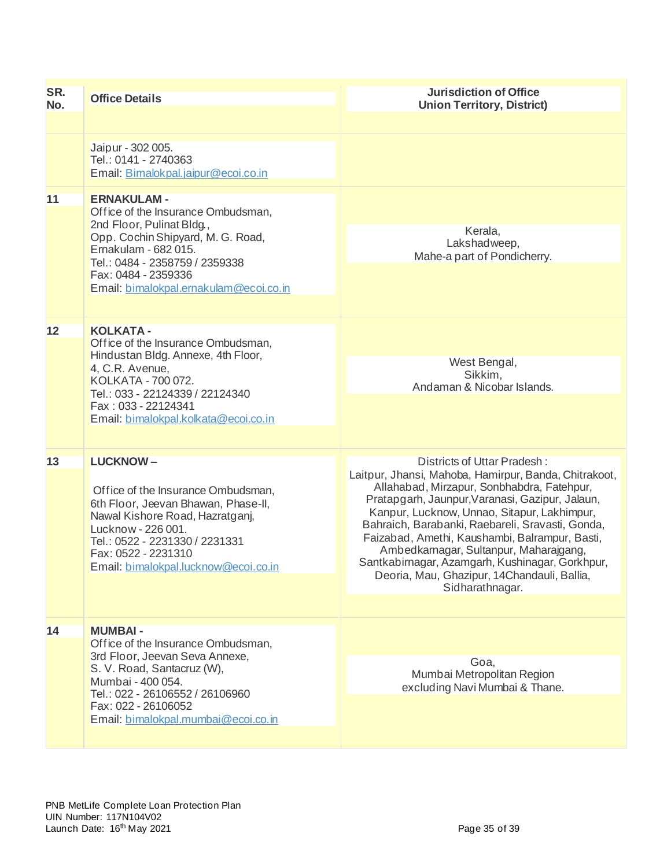| SR.<br>No.                                                                                                                                                   | <b>Office Details</b>                                                                                                                                                                                                                                  | <b>Jurisdiction of Office</b><br><b>Union Territory, District)</b>                                                                                                                                                                                                                                                                                                                                                                                                                                        |
|--------------------------------------------------------------------------------------------------------------------------------------------------------------|--------------------------------------------------------------------------------------------------------------------------------------------------------------------------------------------------------------------------------------------------------|-----------------------------------------------------------------------------------------------------------------------------------------------------------------------------------------------------------------------------------------------------------------------------------------------------------------------------------------------------------------------------------------------------------------------------------------------------------------------------------------------------------|
|                                                                                                                                                              |                                                                                                                                                                                                                                                        |                                                                                                                                                                                                                                                                                                                                                                                                                                                                                                           |
|                                                                                                                                                              | Jaipur - 302 005.<br>Tel.: 0141 - 2740363<br>Email: Bimalokpal.jaipur@ecoi.co.in                                                                                                                                                                       |                                                                                                                                                                                                                                                                                                                                                                                                                                                                                                           |
| 11                                                                                                                                                           | <b>ERNAKULAM -</b><br>Office of the Insurance Ombudsman,<br>2nd Floor, Pulinat Bldg.,                                                                                                                                                                  | Kerala,                                                                                                                                                                                                                                                                                                                                                                                                                                                                                                   |
| Opp. Cochin Shipyard, M. G. Road,<br>Ernakulam - 682 015.<br>Tel.: 0484 - 2358759 / 2359338<br>Fax: 0484 - 2359336<br>Email: bimalokpal.ernakulam@ecoi.co.in | Lakshadweep,<br>Mahe-a part of Pondicherry.                                                                                                                                                                                                            |                                                                                                                                                                                                                                                                                                                                                                                                                                                                                                           |
|                                                                                                                                                              |                                                                                                                                                                                                                                                        |                                                                                                                                                                                                                                                                                                                                                                                                                                                                                                           |
| 12<br><b>KOLKATA -</b><br>Office of the Insurance Ombudsman,<br>Hindustan Bldg. Annexe, 4th Floor,<br>4, C.R. Avenue,<br>KOLKATA - 700 072.                  |                                                                                                                                                                                                                                                        |                                                                                                                                                                                                                                                                                                                                                                                                                                                                                                           |
|                                                                                                                                                              | Tel.: 033 - 22124339 / 22124340                                                                                                                                                                                                                        | West Bengal,<br>Sikkim.<br>Andaman & Nicobar Islands.                                                                                                                                                                                                                                                                                                                                                                                                                                                     |
|                                                                                                                                                              | Fax: 033 - 22124341<br>Email: bimalokpal.kolkata@ecoi.co.in                                                                                                                                                                                            |                                                                                                                                                                                                                                                                                                                                                                                                                                                                                                           |
|                                                                                                                                                              |                                                                                                                                                                                                                                                        |                                                                                                                                                                                                                                                                                                                                                                                                                                                                                                           |
| 13                                                                                                                                                           | <b>LUCKNOW-</b><br>Office of the Insurance Ombudsman,<br>6th Floor, Jeevan Bhawan, Phase-II,<br>Nawal Kishore Road, Hazratganj,<br>Lucknow - 226 001.<br>Tel.: 0522 - 2231330 / 2231331<br>Fax: 0522 - 2231310<br>Email: bimalokpal.lucknow@ecoi.co.in | Districts of Uttar Pradesh:<br>Laitpur, Jhansi, Mahoba, Hamirpur, Banda, Chitrakoot,<br>Allahabad, Mirzapur, Sonbhabdra, Fatehpur,<br>Pratapgarh, Jaunpur, Varanasi, Gazipur, Jalaun,<br>Kanpur, Lucknow, Unnao, Sitapur, Lakhimpur,<br>Bahraich, Barabanki, Raebareli, Sravasti, Gonda,<br>Faizabad, Amethi, Kaushambi, Balrampur, Basti,<br>Ambedkarnagar, Sultanpur, Maharajgang,<br>Santkabirnagar, Azamgarh, Kushinagar, Gorkhpur,<br>Deoria, Mau, Ghazipur, 14Chandauli, Ballia,<br>Sidharathnagar. |
|                                                                                                                                                              |                                                                                                                                                                                                                                                        |                                                                                                                                                                                                                                                                                                                                                                                                                                                                                                           |
| 14                                                                                                                                                           | <b>MUMBAI-</b><br>Office of the Insurance Ombudsman,<br>3rd Floor, Jeevan Seva Annexe,                                                                                                                                                                 |                                                                                                                                                                                                                                                                                                                                                                                                                                                                                                           |
|                                                                                                                                                              | S. V. Road, Santacruz (W),<br>Mumbai - 400 054.<br>Tel.: 022 - 26106552 / 26106960                                                                                                                                                                     | Goa,<br>Mumbai Metropolitan Region<br>excluding Navi Mumbai & Thane.                                                                                                                                                                                                                                                                                                                                                                                                                                      |
|                                                                                                                                                              | Fax: 022 - 26106052<br>Email: bimalokpal.mumbai@ecoi.co.in                                                                                                                                                                                             |                                                                                                                                                                                                                                                                                                                                                                                                                                                                                                           |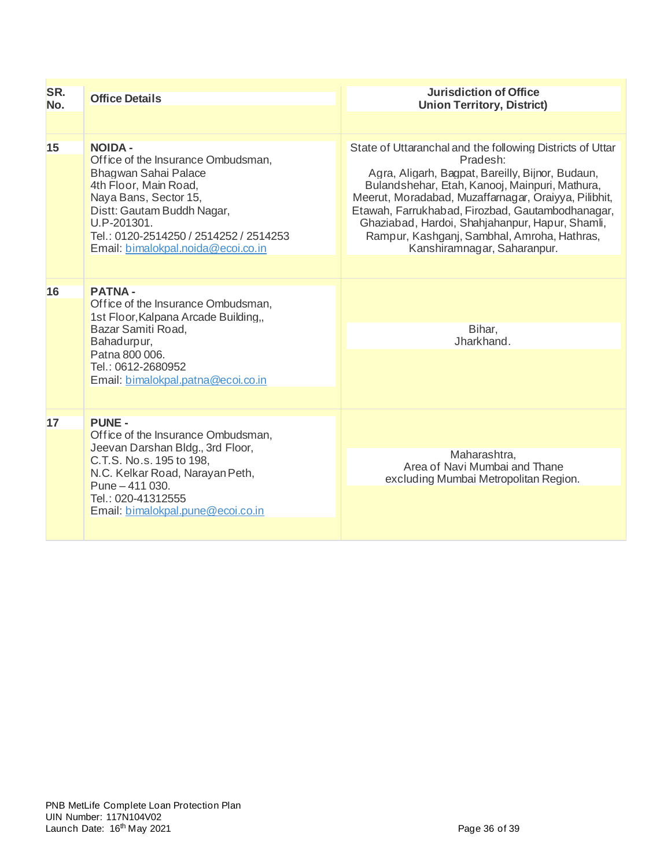| SR.<br>No. | <b>Office Details</b>                                                                                                                                                                                                                                       | <b>Jurisdiction of Office</b><br><b>Union Territory, District)</b>                                                                                                                                                                                                                                                                                                                                                       |
|------------|-------------------------------------------------------------------------------------------------------------------------------------------------------------------------------------------------------------------------------------------------------------|--------------------------------------------------------------------------------------------------------------------------------------------------------------------------------------------------------------------------------------------------------------------------------------------------------------------------------------------------------------------------------------------------------------------------|
|            |                                                                                                                                                                                                                                                             |                                                                                                                                                                                                                                                                                                                                                                                                                          |
| 15         | <b>NOIDA -</b><br>Office of the Insurance Ombudsman,<br>Bhagwan Sahai Palace<br>4th Floor, Main Road,<br>Naya Bans, Sector 15,<br>Distt: Gautam Buddh Nagar,<br>U.P-201301.<br>Tel.: 0120-2514250 / 2514252 / 2514253<br>Email: bimalokpal.noida@ecoi.co.in | State of Uttaranchal and the following Districts of Uttar<br>Pradesh:<br>Agra, Aligarh, Bagpat, Bareilly, Bijnor, Budaun,<br>Bulandshehar, Etah, Kanooj, Mainpuri, Mathura,<br>Meerut, Moradabad, Muzaffarnagar, Oraiyya, Pilibhit,<br>Etawah, Farrukhabad, Firozbad, Gautambodhanagar,<br>Ghaziabad, Hardoi, Shahjahanpur, Hapur, Shamli,<br>Rampur, Kashganj, Sambhal, Amroha, Hathras,<br>Kanshiramnagar, Saharanpur. |
| 16         | <b>PATNA-</b><br>Office of the Insurance Ombudsman,<br>1st Floor, Kalpana Arcade Building,<br>Bazar Samiti Road,<br>Bahadurpur,<br>Patna 800 006.<br>Tel.: 0612-2680952<br>Email: bimalokpal.patna@ecoi.co.in                                               | Bihar,<br>Jharkhand.                                                                                                                                                                                                                                                                                                                                                                                                     |
| 17         | <b>PUNE -</b><br>Office of the Insurance Ombudsman,<br>Jeevan Darshan Bldg., 3rd Floor,<br>C.T.S. No.s. 195 to 198.<br>N.C. Kelkar Road, Narayan Peth,<br>Pune - 411 030.<br>Tel.: 020-41312555<br>Email: bimalokpal.pune@ecoi.co.in                        | Maharashtra,<br>Area of Navi Mumbai and Thane<br>excluding Mumbai Metropolitan Region.                                                                                                                                                                                                                                                                                                                                   |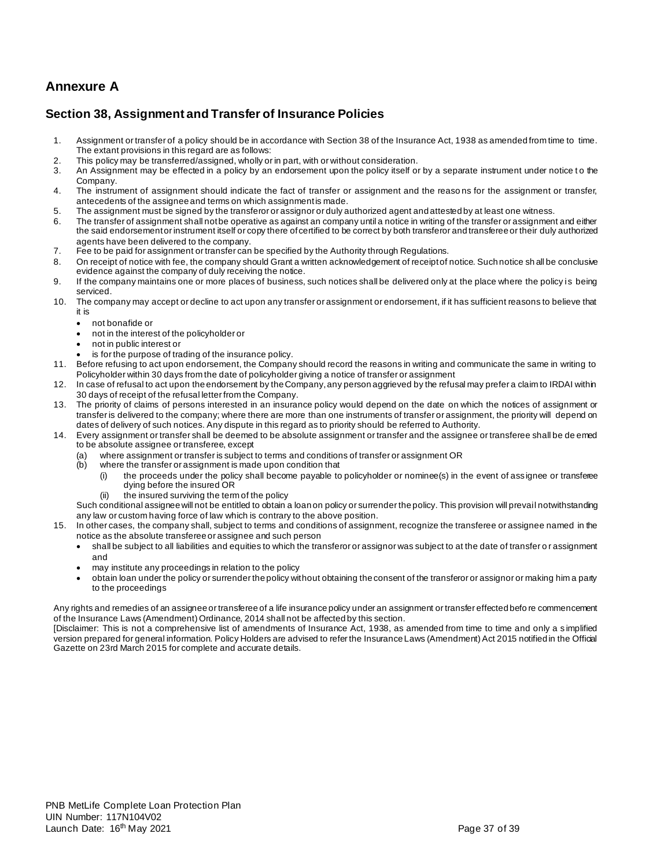# **Annexure A**

## **Section 38, Assignment and Transfer of Insurance Policies**

- 1. Assignment or transfer of a policy should be in accordance with Section 38 of the Insurance Act, 1938 as amended from time to time. The extant provisions in this regard are as follows:
- 2. This policy may be transferred/assigned, wholly or in part, with or without consideration.<br>3. An Assignment may be effected in a policy by an endorsement upon the policy itself or
- An Assignment may be effected in a policy by an endorsement upon the policy itself or by a separate instrument under notice to the Company.
- 4. The instrument of assignment should indicate the fact of transfer or assignment and the reaso ns for the assignment or transfer, antecedents of the assignee and terms on which assignment is made.
- 5. The assignment must be signed by the transferor or assignor or duly authorized agent and attested by at least one witness.
- 6. The transfer of assignment shall not be operative as against an company until a notice in writing of the transfer or assignment and either the said endorsement or instrument itself or copy there of certified to be correct by both transferor and transferee or their duly authorized agents have been delivered to the company.
- 7. Fee to be paid for assignment or transfer can be specified by the Authority through Regulations.
- 8. On receipt of notice with fee, the company should Grant a written acknowledgement of receipt of notice. Such notice sh all be conclusive evidence against the company of duly receiving the notice.
- 9. If the company maintains one or more places of business, such notices shall be delivered only at the place where the policy is being serviced.
- 10. The company may accept or decline to act upon any transfer or assignment or endorsement, if it has sufficient reasons to believe that it is
	- not bonafide or
	- not in the interest of the policyholder or
	- not in public interest or
	- is for the purpose of trading of the insurance policy.
- 11. Before refusing to act upon endorsement, the Company should record the reasons in writing and communicate the same in writing to Policyholder within 30 days from the date of policyholder giving a notice of transfer or assignment
- 12. In case of refusal to act upon the endorsement by the Company, any person aggrieved by the refusal may prefer a claim to IRDAI within 30 days of receipt of the refusal letter from the Company.
- 13. The priority of claims of persons interested in an insurance policy would depend on the date on which the notices of assignment or transfer is delivered to the company; where there are more than one instruments of transfer or assignment, the priority will depend on dates of delivery of such notices. Any dispute in this regard as to priority should be referred to Authority.
- 14. Every assignment or transfer shall be deemed to be absolute assignment or transfer and the assignee or transferee shall be de emed to be absolute assignee or transferee, except
	- (a) where assignment or transfer is subject to terms and conditions of transfer or assignment OR
	- (b) where the transfer or assignment is made upon condition that
		- (i) the proceeds under the policy shall become payable to policyholder or nominee(s) in the event of assignee or transferee dying before the insured OR
		- the insured surviving the term of the policy

Such conditional assignee will not be entitled to obtain a loan on policy or surrender the policy. This provision will prevail notwithstanding any law or custom having force of law which is contrary to the above position.

- 15. In other cases, the company shall, subject to terms and conditions of assignment, recognize the transferee or assignee named in the notice as the absolute transferee or assignee and such person
	- shall be subject to all liabilities and equities to which the transferor or assignor was subject to at the date of transfer o r assignment and
	- may institute any proceedings in relation to the policy
	- obtain loan under the policy or surrender the policy without obtaining the consent of the transferor or assignor or making him a party to the proceedings

Any rights and remedies of an assignee or transferee of a life insurance policy under an assignment or transfer effected befo re commencement of the Insurance Laws (Amendment) Ordinance, 2014 shall not be affected by this section.

[Disclaimer: This is not a comprehensive list of amendments of Insurance Act, 1938, as amended from time to time and only a s implified version prepared for general information. Policy Holders are advised to refer the Insurance Laws (Amendment) Act 2015 notified in the Official Gazette on 23rd March 2015 for complete and accurate details.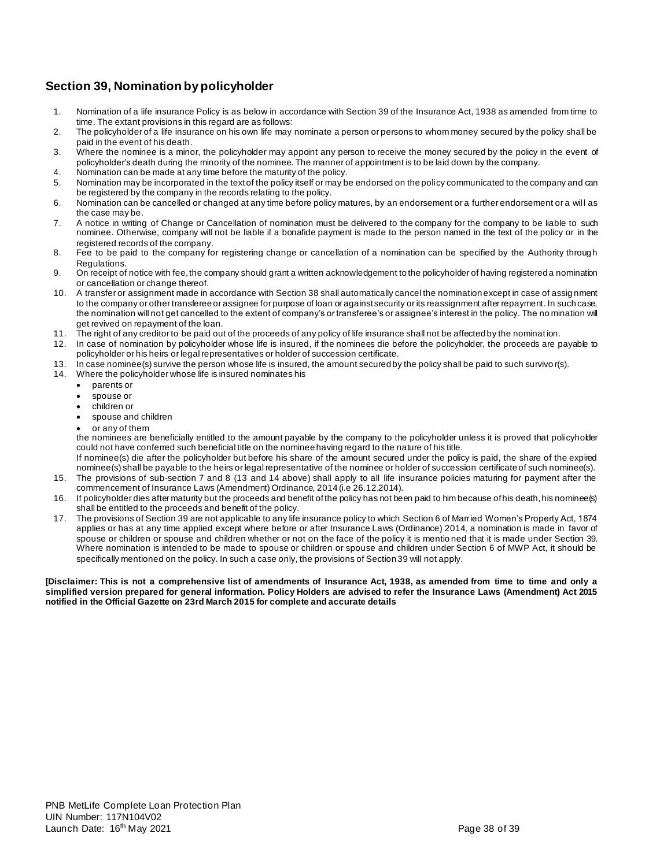## **Section 39, Nomination by policyholder**

- 1. Nomination of a life insurance Policy is as below in accordance with Section 39 of the Insurance Act, 1938 as amended from time to time. The extant provisions in this regard are as follows:
- 2. The policyholder of a life insurance on his own life may nominate a person or persons to whom money secured by the policy shall be paid in the event of his death.
- 3. Where the nominee is a minor, the policyholder may appoint any person to receive the money secured by the policy in the event of policyholder's death during the minority of the nominee. The manner of appointment is to be laid down by the company.
- 4. Nomination can be made at any time before the maturity of the policy.
- 5. Nomination may be incorporated in the text of the policy itself or may be endorsed on the policy communicated to the company and can be registered by the company in the records relating to the policy.
- 6. Nomination can be cancelled or changed at any time before policy matures, by an endorsement or a further endorsement or a wil l as the case may be.
- 7. A notice in writing of Change or Cancellation of nomination must be delivered to the company for the company to be liable to such nominee. Otherwise, company will not be liable if a bonafide payment is made to the person named in the text of the policy or in the registered records of the company.
- 8. Fee to be paid to the company for registering change or cancellation of a nomination can be specified by the Authority through Regulations.
- 9. On receipt of notice with fee, the company should grant a written acknowledgement to the policyholder of having registered a nomination or cancellation or change thereof.
- 10. A transfer or assignment made in accordance with Section 38 shall automatically cancel the nomination except in case of assig nment to the company or other transferee or assignee for purpose of loan or against security or its reassignment after repayment. In such case, the nomination will not get cancelled to the extent of company's or transferee's or assignee's interest in the policy. The no mination will get revived on repayment of the loan.
- 11. The right of any creditor to be paid out of the proceeds of any policy of life insurance shall not be affected by the nominat ion.
- 12. In case of nomination by policyholder whose life is insured, if the nominees die before the policyholder, the proceeds are payable to policyholder or his heirs or legal representatives or holder of succession certificate.
- 13. In case nominee(s) survive the person whose life is insured, the amount secured by the policy shall be paid to such survivo r(s).
- 14. Where the policyholder whose life is insured nominates his
	- parents or
	- spouse or
	- children or
	- spouse and children
	- or any of them

the nominees are beneficially entitled to the amount payable by the company to the policyholder unless it is proved that poli cyholder could not have conferred such beneficial title on the nominee having regard to the nature of his title.

- If nominee(s) die after the policyholder but before his share of the amount secured under the policy is paid, the share of the expired nominee(s) shall be payable to the heirs or legal representative of the nominee or holder of succession certificate of such nominee(s). 15. The provisions of sub-section 7 and 8 (13 and 14 above) shall apply to all life insurance policies maturing for payment after the commencement of Insurance Laws (Amendment) Ordinance, 2014 (i.e 26.12.2014).
- 16. If policyholder dies after maturity but the proceeds and benefit of the policy has not been paid to him because of his death, his nominee(s) shall be entitled to the proceeds and benefit of the policy.
- 17. The provisions of Section 39 are not applicable to any life insurance policy to which Section 6 of Married Women's Property Act, 1874 applies or has at any time applied except where before or after Insurance Laws (Ordinance) 2014, a nomination is made in favor of spouse or children or spouse and children whether or not on the face of the policy it is mentio ned that it is made under Section 39. Where nomination is intended to be made to spouse or children or spouse and children under Section 6 of MWP Act, it should be specifically mentioned on the policy. In such a case only, the provisions of Section 39 will not apply.

**[Disclaimer: This is not a comprehensive list of amendments of Insurance Act, 1938, as amended from time to time and only a simplified version prepared for general information. Policy Holders are advised to refer the Insurance Laws (Amendment) Act 2015 notified in the Official Gazette on 23rd March 2015 for complete and accurate details**